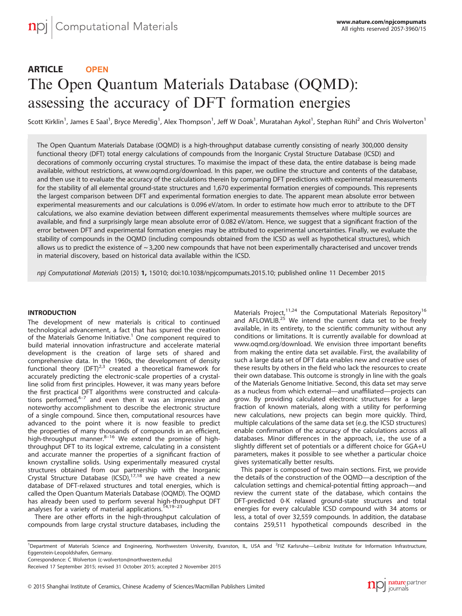# ARTICLE **OPEN** The Open Quantum Materials Database (OQMD):<br>assessing the accuracy of DFT formation energies

ح<br>Scott Kirklin<sup>1</sup>, James E Saal<sup>1</sup>, Bryce Meredig<sup>1</sup>, Alex Thompson<sup>1</sup>, Jeff W Doak<sup>1</sup>, Muratahan Aykol<sup>1</sup>, Stephan Rühl<sup>2</sup> and Chris Wolverton<sup>1</sup>

The Open Quantum Materials Database (OQMD) is a high-throughput database currently consisting of nearly 300,000 density functional theory (DFT) total energy calculations of compounds from the Inorganic Crystal Structure Database (ICSD) and decorations of commonly occurring crystal structures. To maximise the impact of these data, the entire database is being made available, without restrictions, at<www.oqmd.org/download>. In this paper, we outline the structure and contents of the database, and then use it to evaluate the accuracy of the calculations therein by comparing DFT predictions with experimental measurements for the stability of all elemental ground-state structures and 1,670 experimental formation energies of compounds. This represents the largest comparison between DFT and experimental formation energies to date. The apparent mean absolute error between experimental measurements and our calculations is 0.096 eV/atom. In order to estimate how much error to attribute to the DFT calculations, we also examine deviation between different experimental measurements themselves where multiple sources are available, and find a surprisingly large mean absolute error of 0.082 eV/atom. Hence, we suggest that a significant fraction of the error between DFT and experimental formation energies may be attributed to experimental uncertainties. Finally, we evaluate the stability of compounds in the OQMD (including compounds obtained from the ICSD as well as hypothetical structures), which allows us to predict the existence of  $\sim$  3,200 new compounds that have not been experimentally characterised and uncover trends in material discovery, based on historical data available within the ICSD.

npj Computational Materials (2015) 1, 15010; doi:[10.1038/npjcompumats.2015.10](http://dx.doi.org/10.1038/npjcompumats.2015.10); published online 11 December 2015

## INTRODUCTION

The development of new materials is critical to continued technological advancement, a fact that has spurred the creation of the Materials Genome Initiative.<sup>[1](#page-13-0)</sup> One component required to build material innovation infrastructure and accelerate material development is the creation of large sets of shared and comprehensive data. In the 1960s, the development of density functional theory  $(DFT)^{2,3}$  $(DFT)^{2,3}$  $(DFT)^{2,3}$  created a theoretical framework for accurately predicting the electronic-scale properties of a crystalline solid from first principles. However, it was many years before the first practica[l DF](#page-13-0)T algorithms were constructed and calculations performed, $4\sigma$  and even then it was an impressive and noteworthy accomplishment to describe the electronic structure of a single compound. Since then, computational resources have advanced to the point where it is now feasible to predict the properties of many thousands of compounds in an efficient, high-throughput manner.<sup>8–[16](#page-13-0)</sup> We extend the promise of highthroughput DFT to its logical extreme, calculating in a consistent and accurate manner the properties of a significant fraction of known crystalline solids. Using experimentally measured crystal structures obtained from our partnership with the Inorganic Crystal Structure Database (ICSD),[17,18](#page-13-0) we have created a new database of DFT-relaxed structures and total energies, which is called the Open Quantum Materials Database (OQMD). The OQMD has already been used to perform several high-throughput DFT analyses for a variety of material applications.<sup>[14,](#page-13-0)19-[23](#page-13-0)</sup>

There are other efforts in the high-throughput calculation of compounds from large crystal structure databases, including the Materials Project,<sup>[11,24](#page-13-0)</sup> the Computational Materials Repository<sup>[16](#page-13-0)</sup> and AFLOWLIB.<sup>[25](#page-13-0)</sup> We intend the current data set to be freely available, in its entirety, to the scientific community without any conditions or limitations. It is currently available for download at [www.oqmd.org/download.](www.oqmd.org/download) We envision three important benefits from making the entire data set available. First, the availability of such a large data set of DFT data enables new and creative uses of these results by others in the field who lack the resources to create their own database. This outcome is strongly in line with the goals of the Materials Genome Initiative. Second, this data set may serve as a nucleus from which external—and unaffiliated—projects can grow. By providing calculated electronic structures for a large fraction of known materials, along with a utility for performing new calculations, new projects can begin more quickly. Third, multiple calculations of the same data set (e.g. the ICSD structures) enable confirmation of the accuracy of the calculations across all databases. Minor differences in the approach, i.e., the use of a slightly different set of potentials or a different choice for GGA+U parameters, makes it possible to see whether a particular choice gives systematically better results.

This paper is composed of two main sections. First, we provide the details of the construction of the OQMD—a description of the calculation settings and chemical-potential fitting approach—and review the current state of the database, which contains the DFT-predicted 0-K relaxed ground-state structures and total energies for every calculable ICSD compound with 34 atoms or less, a total of over 32,559 compounds. In addition, the database contains 259,511 hypothetical compounds described in the

<sup>&</sup>lt;sup>1</sup>Department of Materials Science and Engineering, Northwestern University, Evanston, IL, USA and <sup>2</sup>FIZ Karlsruhe—Leibniz Institute for Information Infrastructure, Eggenstein-Leopoldshafen, Germany.

Correspondence: C Wolverton [\(c-wolverton@northwestern.edu](mailto:c-wolverton@northwestern.edu))

Received 17 September 2015; revised 31 October 2015; accepted 2 November 2015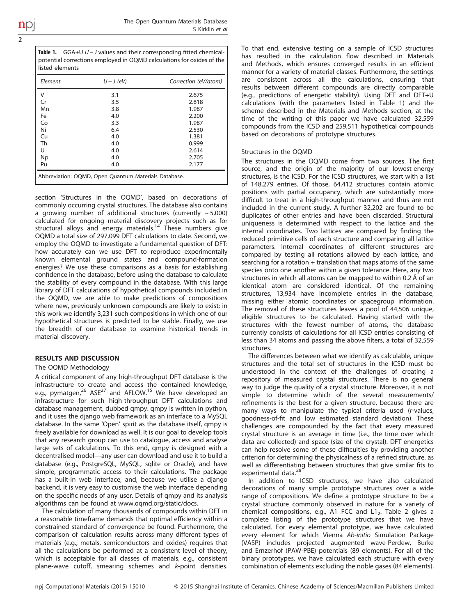The Open Quantum Materials Database S Kirklin et al

<span id="page-1-0"></span>2

Table 1. GGA+U U − J values and their corresponding fitted chemicalpotential corrections employed in OQMD calculations for oxides of the listed elements

| Element                                              | $U - J$ (eV) | Correction (eV/atom) |  |  |  |
|------------------------------------------------------|--------------|----------------------|--|--|--|
| V                                                    | 3.1          | 2.675                |  |  |  |
| Cr                                                   | 3.5          | 2.818                |  |  |  |
| Mn                                                   | 3.8          | 1.987                |  |  |  |
| Fe                                                   | 4.0          | 2.200                |  |  |  |
| Co                                                   | 3.3          | 1.987                |  |  |  |
| Ni                                                   | 6.4          | 2.530                |  |  |  |
| Cu                                                   | 4.0          | 1.381                |  |  |  |
| Th                                                   | 4.0          | 0.999                |  |  |  |
| U                                                    | 4.0          | 2.614                |  |  |  |
| Np                                                   | 4.0          | 2.705                |  |  |  |
| Pu                                                   | 4.0          | 2.177                |  |  |  |
| Abbreviation: OQMD, Open Quantum Materials Database. |              |                      |  |  |  |

section 'Structures in the OQMD', based on decorations of commonly occurring crystal structures. The database also contains a growing number of additional structures (currently  $\sim$  5,000) calculated for ongoing material discovery projects such as for structural alloys and energy materials.[14](#page-13-0) These numbers give OQMD a total size of 297,099 DFT calculations to date. Second, we employ the OQMD to investigate a fundamental question of DFT: how accurately can we use DFT to reproduce experimentally known elemental ground states and compound-formation energies? We use these comparisons as a basis for establishing confidence in the database, before using the database to calculate the stability of every compound in the database. With this large library of DFT calculations of hypothetical compounds included in the OQMD, we are able to make predictions of compositions where new, previously unknown compounds are likely to exist; in this work we identify 3,231 such compositions in which one of our hypothetical structures is predicted to be stable. Finally, we use the breadth of our database to examine historical trends in material discovery.

#### RESULTS AND DISCUSSION

#### The OQMD Methodology

A critical component of any high-throughput DFT database is the infrastructure to create and access the contained knowledge, e.g., pymatgen,<sup>[26](#page-13-0)</sup> ASE<sup>27</sup> and AFLOW.<sup>[15](#page-13-0)</sup> We have developed an infrastructure for such high-throughput DFT calculations and database management, dubbed qmpy. qmpy is written in python, and it uses the django web framework as an interface to a MySQL database. In the same 'Open' spirit as the database itself, qmpy is freely available for download as well. It is our goal to develop tools that any research group can use to catalogue, access and analyse large sets of calculations. To this end, qmpy is designed with a decentralised model—any user can download and use it to build a database (e.g., PostgreSQL, MySQL, sqlite or Oracle), and have simple, programmatic access to their calculations. The package has a built-in web interface, and, because we utilise a django backend, it is very easy to customise the web interface depending on the specific needs of any user. Details of qmpy and its analysis algorithms can be found at [www.oqmd.org/static/docs.](www.oqmd.org/static/docs)

The calculation of many thousands of compounds within DFT in a reasonable timeframe demands that optimal efficiency within a constrained standard of convergence be found. Furthermore, the comparison of calculation results across many different types of materials (e.g., metals, semiconductors and oxides) requires that all the calculations be performed at a consistent level of theory, which is acceptable for all classes of materials, e.g., consistent plane-wave cutoff, smearing schemes and k-point densities. To that end, extensive testing on a sample of ICSD structures has resulted in the calculation flow described in Materials and Methods, which ensures converged results in an efficient manner for a variety of material classes. Furthermore, the settings are consistent across all the calculations, ensuring that results between different compounds are directly comparable (e.g., predictions of energetic stability). Using DFT and DFT+U calculations (with the parameters listed in Table 1) and the scheme described in the Materials and Methods section, at the time of the writing of this paper we have calculated 32,559 compounds from the ICSD and 259,511 hypothetical compounds based on decorations of prototype structures.

#### Structures in the OQMD

The structures in the OQMD come from two sources. The first source, and the origin of the majority of our lowest-energy structures, is the ICSD. For the ICSD structures, we start with a list of 148,279 entries. Of those, 64,412 structures contain atomic positions with partial occupancy, which are substantially more difficult to treat in a high-throughput manner and thus are not included in the current study. A further 32,202 are found to be duplicates of other entries and have been discarded. Structural uniqueness is determined with respect to the lattice and the internal coordinates. Two lattices are compared by finding the reduced primitive cells of each structure and comparing all lattice parameters. Internal coordinates of different structures are compared by testing all rotations allowed by each lattice, and searching for a rotation  $+$  translation that maps atoms of the same species onto one another within a given tolerance. Here, any two structures in which all atoms can be mapped to within 0.2 Å of an identical atom are considered identical. Of the remaining structures, 13,934 have incomplete entries in the database, missing either atomic coordinates or spacegroup information. The removal of these structures leaves a pool of 44,506 unique, eligible structures to be calculated. Having started with the structures with the fewest number of atoms, the database currently consists of calculations for all ICSD entries consisting of less than 34 atoms and passing the above filters, a total of 32,559 structures.

The differences between what we identify as calculable, unique structures and the total set of structures in the ICSD must be understood in the context of the challenges of creating a repository of measured crystal structures. There is no general way to judge the quality of a crystal structure. Moreover, it is not simple to determine which of the several measurements/ refinements is the best for a given structure, because there are many ways to manipulate the typical criteria used (r-values, goodness-of-fit and low estimated standard deviation). These challenges are compounded by the fact that every measured crystal structure is an average in time (i.e., the time over which data are collected) and space (size of the crystal). DFT energetics can help resolve some of these difficulties by providing another criterion for determining the physicalness of a refined structure, as well as differentiating between structures that give similar fits to experimental data.<sup>[28](#page-13-0)</sup>

In addition to ICSD structures, we have also calculated decorations of many simple prototype structures over a wide range of compositions. We define a prototype structure to be a crystal structure commonly observed in nature for a variety of chemical compositions, e.g., A1 FCC and  $L1<sub>2</sub>$ . [Table 2](#page-2-0) gives a complete listing of the prototype structures that we have calculated. For every elemental prototype, we have calculated every element for which Vienna Ab-initio Simulation Package (VASP) includes projected augmented wave-Perdew, Burke and Ernzerhof (PAW-PBE) potentials (89 elements). For all of the binary prototypes, we have calculated each structure with every combination of elements excluding the noble gases (84 elements).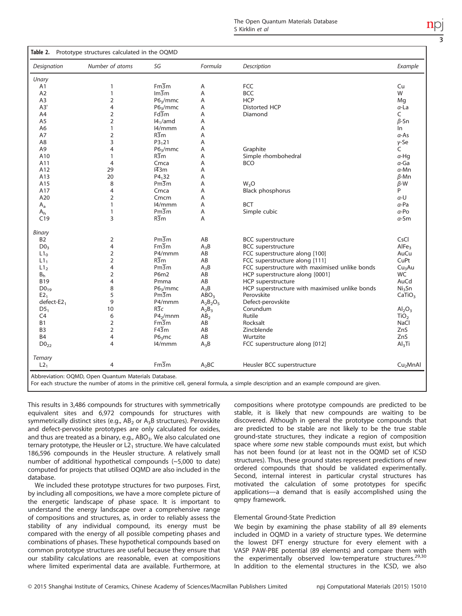<span id="page-2-0"></span>

| Designation           | Number of atoms | SG                   | Formula           | Description                                    | Example                        |
|-----------------------|-----------------|----------------------|-------------------|------------------------------------------------|--------------------------------|
| Unary                 |                 |                      |                   |                                                |                                |
| A1                    | 1               | $Fm\overline{3}m$    | Α                 | <b>FCC</b>                                     | Cu                             |
| A2                    | $\mathbf{1}$    | $Im\overline{3}m$    | A                 | <b>BCC</b>                                     | W                              |
| A <sub>3</sub>        | $\overline{2}$  | P6 <sub>3</sub> /mmc | Α                 | <b>HCP</b>                                     | Mg                             |
| A3'                   | $\overline{4}$  | $P6_3/mmc$           | Α                 | Distorted HCP                                  | $\alpha$ -La                   |
| A4                    | $\overline{2}$  | $Fd\overline{3}m$    | A                 | Diamond                                        | C                              |
| A <sub>5</sub>        | $\overline{2}$  | 14 <sub>1</sub> /and | Α                 |                                                | $\beta$ -Sn                    |
| A <sub>6</sub>        | $\mathbf{1}$    | 14/mmm               | Α                 |                                                | In                             |
| A7                    | $\overline{2}$  | $R\overline{3}m$     | A                 |                                                | $\alpha$ -As                   |
| A <sub>8</sub>        | 3               | P3 <sub>1</sub> 21   | A                 |                                                | $v-Se$                         |
| A <sub>9</sub>        | $\overline{4}$  | P6 <sub>3</sub> /mmc | Α                 | Graphite                                       | $\mathsf{C}$                   |
| A10                   | $\mathbf{1}$    | $R\overline{3}m$     | Α                 | Simple rhombohedral                            | $\alpha$ -Hq                   |
| A11                   | $\overline{4}$  | Cmca                 | Α                 | <b>BCO</b>                                     | $\alpha$ -Ga                   |
| A12                   | 29              | 143m                 | A                 |                                                | $\alpha$ -Mn                   |
| A13                   | 20              | P4 <sub>1</sub> 32   | A                 |                                                | $\beta$ -Mn                    |
| A15                   | 8               | $Pm\overline{3}m$    | Α                 | $W_3O$                                         | $\beta$ -W                     |
| A17                   | 4               | Cmca                 | A                 | <b>Black phosphorus</b>                        | P                              |
| A20                   | $\overline{2}$  | Cmcm                 | Α                 |                                                | a-U                            |
| $A_{a}$               | $\mathbf{1}$    | 14/mmm               | A                 | <b>BCT</b>                                     | $\alpha$ -Pa                   |
|                       | $\mathbf{1}$    | Pm3m                 | A                 | Simple cubic                                   | $a-Po$                         |
| A <sub>h</sub><br>C19 | 3               | $R\overline{3}m$     | A                 |                                                | $a$ -Sm                        |
|                       |                 |                      |                   |                                                |                                |
| <b>Binary</b>         |                 |                      |                   |                                                |                                |
| <b>B2</b>             | $\overline{2}$  | $Pm\overline{3}m$    | AB                | <b>BCC</b> superstructure                      | CsCl                           |
| DO <sub>3</sub>       | $\overline{4}$  | $Fm\overline{3}m$    | $A_3B$            | <b>BCC</b> superstructure                      | AlFe <sub>3</sub>              |
| L1 <sub>0</sub>       | $\overline{2}$  | P4/mmm               | AB                | FCC superstructure along [100]                 | AuCu                           |
| L1 <sub>1</sub>       | $\overline{2}$  | $R\overline{3}m$     | AB                | FCC superstructure along [111]                 | CuPt                           |
| L1 <sub>2</sub>       | $\overline{4}$  | $Pm\overline{3}m$    | $A_3B$            | FCC superstructure with maximised unlike bonds | Cu <sub>3</sub> Au             |
| $B_h$                 | $\overline{2}$  | P6m <sub>2</sub>     | AB                | HCP superstructure along [0001]                | WC                             |
| <b>B19</b>            | 4               | Pmma                 | AB                | HCP superstructure                             | AuCd                           |
| $D0_{19}$             | 8               | P6 <sub>3</sub> /mmc | $A_3B$            | HCP superstructure with maximised unlike bonds | Ni <sub>3</sub> Sn             |
| E2 <sub>1</sub>       | 5               | $Pm\overline{3}m$    | ABO <sub>3</sub>  | Perovskite                                     | CaTiO <sub>3</sub>             |
| $defect-E21$          | 9               | P4/mmm               | $A_2B_2O_5$       | Defect-perovskite                              |                                |
| D5 <sub>1</sub>       | 10              | $R\overline{3}c$     | $A_2B_3$          | Corundum                                       | Al <sub>2</sub> O <sub>3</sub> |
| C4                    | 6               | P4 <sub>2</sub> /mm  | AB <sub>2</sub>   | Rutile                                         | TiO <sub>2</sub>               |
| <b>B1</b>             | $\overline{2}$  | $Fm\overline{3}m$    | AB                | Rocksalt                                       | NaCl                           |
| B <sub>3</sub>        | $\overline{2}$  | $F4\overline{3}m$    | AB                | Zincblende                                     | ZnS                            |
| B <sub>4</sub>        | 4               | P6 <sub>3</sub> mc   | AB                | Wurtzite                                       | ZnS                            |
| $D0_{22}$             | 4               | 14/mmm               | $A_3B$            | FCC superstructure along [012]                 | $\mathsf{Al}_3\mathsf{Ti}$     |
| <b>Ternary</b>        |                 |                      |                   |                                                |                                |
| L2 <sub>1</sub>       | 4               | $Fm\overline{3}m$    | A <sub>2</sub> BC | Heusler BCC superstructure                     | Cu <sub>2</sub> MnAl           |

For each structure the number of atoms in the primitive cell, general formula, a simple description and an example compound are given.

This results in 3,486 compounds for structures with symmetrically equivalent sites and 6,972 compounds for structures with symmetrically distinct sites (e.g.,  $AB_2$  or  $A_3B$  structures). Perovskite and defect-pervoskite prototypes are only calculated for oxides, and thus are treated as a binary, e.g., ABO<sub>3</sub>. We also calculated one ternary prototype, the Heusler or  $L2<sub>1</sub>$  structure. We have calculated 186,596 compounds in the Heusler structure. A relatively small number of additional hypothetical compounds (~5,000 to date) computed for projects that utilised OQMD are also included in the database.

We included these prototype structures for two purposes. First, by including all compositions, we have a more complete picture of the energetic landscape of phase space. It is important to understand the energy landscape over a comprehensive range of compositions and structures, as, in order to reliably assess the stability of any individual compound, its energy must be compared with the energy of all possible competing phases and combinations of phases. These hypothetical compounds based on common prototype structures are useful because they ensure that our stability calculations are reasonable, even at compositions where limited experimental data are available. Furthermore, at compositions where prototype compounds are predicted to be stable, it is likely that new compounds are waiting to be discovered. Although in general the prototype compounds that are predicted to be stable are not likely to be the true stable ground-state structures, they indicate a region of composition space where some new stable compounds must exist, but which has not been found (or at least not in the OQMD set of ICSD structures). Thus, these ground states represent predictions of new ordered compounds that should be validated experimentally. Second, internal interest in particular crystal structures has motivated the calculation of some prototypes for specific applications—a demand that is easily accomplished using the qmpy framework.

## Elemental Ground-State Prediction

We begin by examining the phase stability of all 89 elements included in OQMD in a variety of structure types. We determine the lowest DFT energy structure for every element with a VASP PAW-PBE potential (89 elements) and compare them with the experimentally observed low-temperature structures.<sup>[29,30](#page-13-0)</sup> In addition to the elemental structures in the ICSD, we also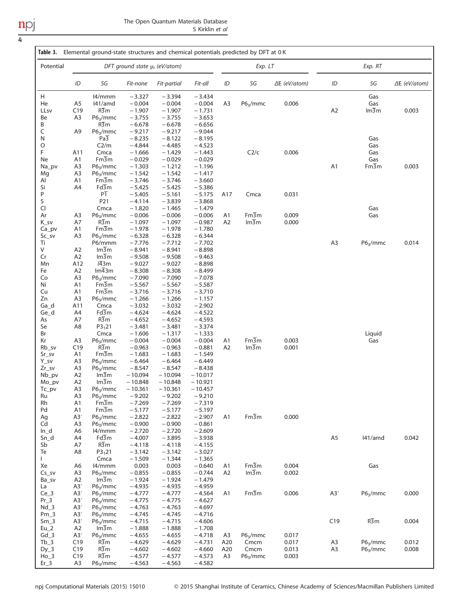<span id="page-3-0"></span> $np$ 4

S Kirklin et al

|                                          |                                  | Table 3. Elemental ground-state structures and chemical potentials predicted by DFT at 0K |                                    |                                    |                                    |                       |                                        |                      |                |                                 |                      |  |  |
|------------------------------------------|----------------------------------|-------------------------------------------------------------------------------------------|------------------------------------|------------------------------------|------------------------------------|-----------------------|----------------------------------------|----------------------|----------------|---------------------------------|----------------------|--|--|
| Potential                                |                                  |                                                                                           | DFT ground state $\mu_i$ (eV/atom) |                                    |                                    |                       | Exp. LT                                |                      |                | Exp. RT                         |                      |  |  |
|                                          | ID                               | SG                                                                                        | Fit-none                           | Fit-partial                        | Fit-all                            | ID                    | SG                                     | $\Delta E$ (eV/atom) | ID             | SG                              | $\Delta E$ (eV/atom) |  |  |
| H<br>He<br>LLsv                          | A <sub>5</sub><br>C19            | 14/mmm<br>I41/amd<br>$R\overline{3}m$                                                     | $-3.327$<br>$-0.004$<br>$-1.907$   | $-3.394$<br>$-0.004$<br>$-1.907$   | $-3.434$<br>$-0.004$<br>$-1.731$   | A <sub>3</sub>        | P6 <sub>3</sub> /mmc                   | 0.006                | A <sub>2</sub> | Gas<br>Gas<br>$Im\overline{3}m$ | 0.003                |  |  |
| Be<br>Β<br>C                             | A3<br>A9                         | P6 <sub>3</sub> /mmc<br>$R\overline{3}m$<br>P6 <sub>3</sub> /mmc                          | $-3.755$<br>$-6.678$<br>$-9.217$   | $-3.755$<br>$-6.678$<br>$-9.217$   | $-3.653$<br>$-6.656$<br>$-9.044$   |                       |                                        |                      |                |                                 |                      |  |  |
| N<br>O<br>F                              | A11                              | $Pa\overline{3}$<br>C2/m<br>Cmca                                                          | $-8.235$<br>$-4.844$<br>$-1.666$   | $-8.122$<br>$-4.485$<br>$-1.429$   | $-8.195$<br>$-4.523$<br>$-1.443$   |                       | C2/c                                   | 0.006                |                | Gas<br>Gas<br>Gas               |                      |  |  |
| Ne<br>Na_pv<br>Mg                        | A1<br>A3<br>A3                   | $Fm\overline{3}m$<br>P6 <sub>3</sub> /mmc<br>P6 <sub>3</sub> /mmc                         | $-0.029$<br>$-1.303$<br>$-1.542$   | $-0.029$<br>$-1.212$<br>$-1.542$   | $-0.029$<br>$-1.196$<br>$-1.417$   |                       |                                        |                      | A1             | Gas<br>$Fm\overline{3}m$        | 0.003                |  |  |
| Al<br>Si<br>Ρ                            | A1<br>A4                         | $Fm\overline{3}m$<br>$Fd\overline{3}m$<br>$P\overline{1}$                                 | $-3.746$<br>$-5.425$<br>$-5.405$   | $-3.746$<br>$-5.425$<br>$-5.161$   | $-3.660$<br>$-5.386$<br>$-5.175$   | A17                   | Cmca                                   | 0.031                |                |                                 |                      |  |  |
| S<br>$\mathsf{Cl}\xspace$<br>Ar          | A3                               | P21<br>Cmca<br>P6 <sub>3</sub> /mmc                                                       | $-4.114$<br>$-1.820$<br>$-0.006$   | $-3.839$<br>$-1.465$<br>$-0.006$   | $-3.868$<br>$-1.479$<br>$-0.006$   | A1                    | $Fm\overline{3}m$                      | 0.009                |                | Gas<br>Gas                      |                      |  |  |
| K_sv<br>$Ca$ _pv<br>Sc_sv                | A7<br>A1<br>A3                   | $R\overline{3}m$<br>$Fm\overline{3}m$<br>P6 <sub>3</sub> /mmc                             | $-1.097$<br>$-1.978$<br>$-6.328$   | $-1.097$<br>$-1.978$<br>$-6.328$   | $-0.987$<br>$-1.780$<br>$-6.344$   | A <sub>2</sub>        | $Im\overline{3}m$                      | 0.000                |                |                                 |                      |  |  |
| Ti<br>V<br>Cr                            | A <sub>2</sub><br>A <sub>2</sub> | P6/mmm<br>$Im\overline{3}m$<br>$Im\overline{3}m$                                          | $-7.776$<br>$-8.941$<br>$-9.508$   | $-7.712$<br>$-8.941$<br>$-9.508$   | $-7.702$<br>$-8.898$<br>$-9.463$   |                       |                                        |                      | A <sub>3</sub> | P6 <sub>3</sub> /mmc            | 0.014                |  |  |
| Mn<br>Fe                                 | A12<br>A <sub>2</sub>            | $\sqrt{43}$ m<br>$Im\overline{4}3m$                                                       | $-9.027$<br>$-8.308$               | $-9.027$<br>$-8.308$               | $-8.898$<br>$-8.499$               |                       |                                        |                      |                |                                 |                      |  |  |
| Co<br>Ni<br>Cu                           | A3<br>A1<br>A1                   | $P6_3/mmc$<br>$Fm\overline{3}m$<br>$Fm\overline{3}m$                                      | $-7.090$<br>$-5.567$<br>$-3.716$   | $-7.090$<br>$-5.567$<br>$-3.716$   | $-7.078$<br>$-5.587$<br>$-3.710$   |                       |                                        |                      |                |                                 |                      |  |  |
| Zn<br>Ga_d<br>Ge_d                       | A3<br>A11<br>A4                  | P6 <sub>3</sub> /mmc<br>Cmca<br>$Fd\overline{3}m$                                         | $-1.266$<br>$-3.032$<br>$-4.624$   | $-1.266$<br>$-3.032$<br>$-4.624$   | $-1.157$<br>$-2.902$<br>$-4.522$   |                       |                                        |                      |                |                                 |                      |  |  |
| As<br>Se<br>Br                           | A7<br>A8                         | $R\overline{3}m$<br>P3 <sub>1</sub> 21<br>Cmca                                            | $-4.652$<br>$-3.481$<br>$-1.606$   | $-4.652$<br>$-3.481$<br>$-1.317$   | $-4.593$<br>$-3.374$<br>$-1.333$   |                       |                                        |                      |                | Liquid                          |                      |  |  |
| Κr<br>Rb_sv<br>$Sr$ _sv                  | A <sub>3</sub><br>C19<br>A1      | P6 <sub>3</sub> /mmc<br>$R\overline{3}m$<br>$Fm\overline{3}m$                             | $-0.004$<br>$-0.963$<br>$-1.683$   | $-0.004$<br>$-0.963$<br>$-1.683$   | $-0.004$<br>$-0.881$<br>$-1.549$   | A1<br>A <sub>2</sub>  | $Fm\overline{3}m$<br>$Im\overline{3}m$ | 0.003<br>0.001       |                | Gas                             |                      |  |  |
| $Y$ <sub>_</sub> sv<br>$Zr$ _sv<br>Nb_pv | A3<br>A3<br>A <sub>2</sub>       | P6 <sub>3</sub> /mmc<br>P6 <sub>3</sub> /mmc<br>Im3m                                      | $-6.464$<br>$-8.547$<br>$-10.094$  | $-6.464$<br>$-8.547$<br>$-10.094$  | $-6.449$<br>$-8.438$<br>$-10.017$  |                       |                                        |                      |                |                                 |                      |  |  |
| Mo_pv<br>$Tc$ _pv<br>Ru                  | A <sub>2</sub><br>A3<br>A3       | $Im\overline{3}m$<br>P6 <sub>3</sub> /mmc<br>$P6_3/mmc$                                   | $-10.848$<br>$-10.361$<br>$-9.202$ | $-10.848$<br>$-10.361$<br>$-9.202$ | $-10.921$<br>$-10.457$<br>$-9.210$ |                       |                                        |                      |                |                                 |                      |  |  |
| Rh<br>Pd<br>Ag                           | A1<br>A1<br>A3'                  | $Fm\overline{3}m$<br>$Fm\overline{3}m$<br>P6 <sub>3</sub> /mmc                            | $-7.269$<br>$-5.177$<br>$-2.822$   | $-7.269$<br>$-5.177$<br>$-2.822$   | $-7.319$<br>$-5.197$<br>$-2.907$   | A1                    | $Fm\overline{3}m$                      | 0.000                |                |                                 |                      |  |  |
| Cd<br>$In_d$<br>$Sn_d$                   | A3<br>A6<br>A4                   | P6 <sub>3</sub> /mmc<br>14/mmm<br>$Fd\overline{3}m$                                       | $-0.900$<br>$-2.720$<br>$-4.007$   | $-0.900$<br>$-2.720$<br>$-3.895$   | $-0.861$<br>$-2.609$<br>$-3.938$   |                       |                                        |                      | A5             | I41/amd                         | 0.042                |  |  |
| Sb<br>Te<br>L                            | Α7<br>A8                         | $R\overline{3}m$<br>P3 <sub>1</sub> 21<br>Cmca                                            | $-4.118$<br>$-3.142$<br>$-1.509$   | $-4.118$<br>$-3.142$<br>$-1.344$   | $-4.155$<br>$-3.027$<br>$-1.365$   |                       |                                        |                      |                |                                 |                      |  |  |
| Xe<br>$Cs$ _sv<br>Ba_sv                  | A6<br>A3<br>A <sub>2</sub>       | 14/mmm<br>P6 <sub>3</sub> /mmc<br>lm3m                                                    | 0.003<br>$-0.855$<br>$-1.924$      | 0.003<br>$-0.855$<br>$-1.924$      | $-0.640$<br>$-0.744$<br>$-1.479$   | A1<br>A2              | $Fm\overline{3}m$<br>$Im\overline{3}m$ | 0.004<br>0.002       |                | Gas                             |                      |  |  |
| La<br>$Ce_3$<br>$Pr_3$                   | A3'<br>A3'<br>A3'                | P6 <sub>3</sub> /mmc<br>P6 <sub>3</sub> /mmc<br>P6 <sub>3</sub> /mmc                      | $-4.935$<br>$-4.777$<br>$-4.775$   | $-4.935$<br>$-4.777$<br>$-4.775$   | $-4.959$<br>$-4.564$<br>$-4.627$   | A1                    | $Fm\overline{3}m$                      | 0.006                | A3'            | P6 <sub>3</sub> /mmc            | 0.000                |  |  |
| $Nd_3$<br>$Pm_3$<br>$Sm_3$               | A3'<br>A3'<br>A3'                | P6 <sub>3</sub> /mmc<br>P6 <sub>3</sub> /mmc<br>P6 <sub>3</sub> /mmc                      | $-4.763$<br>$-4.745$<br>$-4.715$   | $-4.763$<br>$-4.745$<br>$-4.715$   | $-4.697$<br>$-4.716$<br>$-4.606$   |                       |                                        |                      | C19            | $R\overline{3}m$                | 0.004                |  |  |
| $Eu_2$<br>$Gd_3$<br>$Tb_3$               | A <sub>2</sub><br>A3'<br>C19     | $Im\overline{3}m$<br>P6 <sub>3</sub> /mmc<br>$R\overline{3}m$                             | $-1.888$<br>$-4.655$<br>$-4.629$   | $-1.888$<br>$-4.655$<br>$-4.629$   | $-1.708$<br>$-4.718$<br>$-4.731$   | A3<br>A20             | P6 <sub>3</sub> /mmc<br>Cmcm           | 0.017<br>0.017       | A3             | P6 <sub>3</sub> /mmc            | 0.012                |  |  |
| $Dy_3$<br>$Ho_3$<br>$Er_3$               | C19<br>C19<br>A3                 | $R\overline{3}m$<br>$R\overline{3}m$<br>$P6_3/mmc$                                        | $-4.602$<br>$-4.577$<br>$-4.563$   | $-4.602$<br>$-4.577$<br>$-4.563$   | $-4.660$<br>$-4.573$<br>$-4.582$   | A20<br>A <sub>3</sub> | Cmcm<br>P6 <sub>3</sub> /mmc           | 0.013<br>0.003       | A3             | P6 <sub>3</sub> /mmc            | 0.008                |  |  |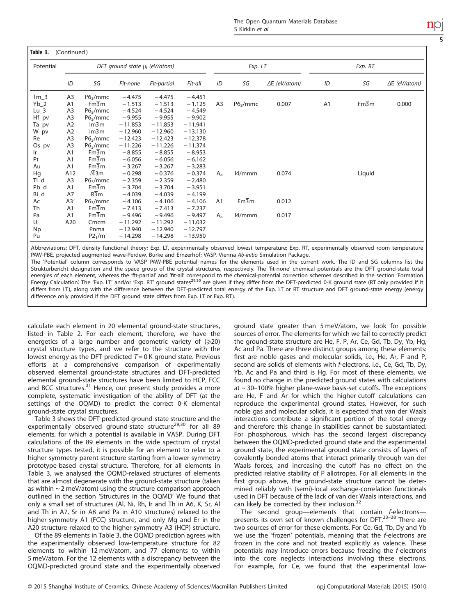5

| Table 3.<br>Potential | (Continued)    |                      | DFT ground state $\mu_i$ (eV/atom) |             |           | Exp. LT        |                   |                      | Exp. RT        |                   |                      |
|-----------------------|----------------|----------------------|------------------------------------|-------------|-----------|----------------|-------------------|----------------------|----------------|-------------------|----------------------|
|                       |                |                      |                                    |             |           |                |                   |                      |                |                   |                      |
|                       | ID             | SG                   | Fit-none                           | Fit-partial | Fit-all   | ID             | SG                | $\Delta E$ (eV/atom) | ID             | SG                | $\Delta E$ (eV/atom) |
| $Tm_3$                | A <sub>3</sub> | $P6_3/mmc$           | $-4.475$                           | $-4.475$    | $-4.451$  |                |                   |                      |                |                   |                      |
| $Yb_2$                | A <sub>1</sub> | $Fm\overline{3}m$    | $-1.513$                           | $-1.513$    | $-1.125$  | A3             | $P6_3/mmc$        | 0.007                | A <sub>1</sub> | $Fm\overline{3}m$ | 0.000                |
| $Lu_3$                | A <sub>3</sub> | P6 <sub>3</sub> /mmc | $-4.524$                           | $-4.524$    | $-4.549$  |                |                   |                      |                |                   |                      |
| $Hf_p$                | A <sub>3</sub> | $P6_3/mmc$           | $-9.955$                           | $-9.955$    | $-9.902$  |                |                   |                      |                |                   |                      |
| Ta_pv                 | A <sub>2</sub> | $Im\overline{3}m$    | $-11.853$                          | $-11.853$   | $-11.941$ |                |                   |                      |                |                   |                      |
| W_pv                  | A <sub>2</sub> | $Im\overline{3}m$    | $-12.960$                          | $-12.960$   | $-13.130$ |                |                   |                      |                |                   |                      |
| Re                    | A <sub>3</sub> | $P6_3/mmc$           | $-12.423$                          | $-12.423$   | $-12.378$ |                |                   |                      |                |                   |                      |
| $Os_pv$               | A <sub>3</sub> | P6 <sub>3</sub> /mmc | $-11.226$                          | $-11.226$   | $-11.374$ |                |                   |                      |                |                   |                      |
| Ir                    | A <sub>1</sub> | Fm3m                 | $-8.855$                           | $-8.855$    | $-8.953$  |                |                   |                      |                |                   |                      |
| Pt                    | A <sub>1</sub> | $Fm\overline{3}m$    | $-6.056$                           | $-6.056$    | $-6.162$  |                |                   |                      |                |                   |                      |
| Au                    | A <sub>1</sub> | $Fm\overline{3}m$    | $-3.267$                           | $-3.267$    | $-3.283$  |                |                   |                      |                |                   |                      |
| Hg                    | A12            | $\sqrt{4}3m$         | $-0.298$                           | $-0.376$    | $-0.374$  | $A_{a}$        | 14/mmm            | 0.074                |                | Liquid            |                      |
| Tl_d                  | A <sub>3</sub> | $P6_3/mmc$           | $-2.359$                           | $-2.359$    | $-2.480$  |                |                   |                      |                |                   |                      |
| Pb_d                  | A <sub>1</sub> | $Fm\overline{3}m$    | $-3.704$                           | $-3.704$    | $-3.951$  |                |                   |                      |                |                   |                      |
| Bi_d                  | A7             | $R\overline{3}m$     | $-4.039$                           | $-4.039$    | $-4.199$  |                |                   |                      |                |                   |                      |
| Ac                    | A3'            | $P6_3/mmc$           | $-4.106$                           | $-4.106$    | $-4.106$  | A <sub>1</sub> | $Fm\overline{3}m$ | 0.012                |                |                   |                      |
| Th                    | A <sub>1</sub> | $Fm\overline{3}m$    | $-7.413$                           | $-7.413$    | $-7.237$  |                |                   |                      |                |                   |                      |
| Pa                    | A <sub>1</sub> | Fm3m                 | $-9.496$                           | $-9.496$    | $-9.497$  | $A_{a}$        | 14/mmm            | 0.017                |                |                   |                      |
| U                     | A20            | Cmcm                 | $-11.292$                          | $-11.292$   | $-11.032$ |                |                   |                      |                |                   |                      |
| Np                    |                | Pnma                 | $-12.940$                          | $-12.940$   | $-12.797$ |                |                   |                      |                |                   |                      |
| Pu                    |                | P2 <sub>1</sub> /m   | $-14.298$                          | $-14.298$   | $-13.950$ |                |                   |                      |                |                   |                      |

Abbreviations: DFT, density functional theory; Exp. LT, experimentally observed lowest temperature; Exp. RT, experimentally observed room temperature PAW-PBE, projected augmented wave-Perdew, Burke and Ernzerhof; VASP, Vienna Ab-initio Simulation Package.

The 'Potential' column corresponds to VASP PAW-PBE potential names for the elements used in the current work. The ID and SG columns list the Strukturbericht designation and the space group of the crystal structures, respectively. The 'fit-none' chemical potentials are the DFT ground-state total energies of each element, whereas the 'fit-partial' and 'fit-all' correspond to the chemical-potential correction schemes described in the section 'Formation Energy Calculation'. The 'Exp. LT' and/or 'Exp. RT' ground states<sup>[29,30](#page-13-0)</sup> are given if they differ from the DFT-predicted 0-K ground state (RT only provided if it differs from LT), along with the difference between the DFT-predicted total energy of the Exp. LT or RT structure and DFT ground-state energy (energy difference only provided if the DFT ground state differs from Exp. LT or Exp. RT).

calculate each element in 20 elemental ground-state structures, listed in [Table 2](#page-2-0). For each element, therefore, we have the energetics of a large number and geometric variety of  $(\geq 20)$ crystal structure types, and we refer to the structure with the lowest energy as the DFT-predicted  $T = 0$  K ground state. Previous efforts at a comprehensive comparison of experimentally observed elemental ground-state structures and DFT-predicted elemental ground-state structures have been limited to HCP, FCC and BCC structures.<sup>[31](#page-13-0)</sup> Hence, our present study provides a more complete, systematic investigation of the ability of DFT (at the settings of the OQMD) to predict the correct 0-K elemental ground-state crystal structures.

[Table 3](#page-3-0) shows the DFT-predicted ground-state structure and the experimentally observed ground-state structure<sup>[29,30](#page-13-0)</sup> for all 89 elements, for which a potential is available in VASP. During DFT calculations of the 89 elements in the wide spectrum of crystal structure types tested, it is possible for an element to relax to a higher-symmetry parent structure starting from a lower-symmetry prototype-based crystal structure. Therefore, for all elements in [Table 3,](#page-3-0) we analysed the OQMD-relaxed structures of elements that are almost degenerate with the ground-state structure (taken as within  $\sim$  2 meV/atom) using the structure comparison approach outlined in the section 'Structures in the OQMD' We found that only a small set of structures (Al, Ni, Rh, Ir and Th in A6, K, Sr, Al and Th in A7, Sr in A8 and Pa in A10 structures) relaxed to the higher-symmetry A1 (FCC) structure, and only Mg and Er in the A20 structure relaxed to the higher-symmetry A3 (HCP) structure.

Of the 89 elements in [Table 3](#page-3-0), the OQMD prediction agrees with the experimentally observed low-temperature structure for 82 elements to within 12 meV/atom, and 77 elements to within 5 meV/atom. For the 12 elements with a discrepancy between the OQMD-predicted ground state and the experimentally observed ground state greater than 5 meV/atom, we look for possible sources of error. The elements for which we fail to correctly predict the ground-state structure are He, F, P, Ar, Ce, Gd, Tb, Dy, Yb, Hg, Ac and Pa. There are three distinct groups among these elements: first are noble gases and molecular solids, i.e., He, Ar, F and P, second are solids of elements with f-electrons, i.e., Ce, Gd, Tb, Dy, Yb, Ac and Pa and third is Hg. For most of these elements, we found no change in the predicted ground states with calculations at  $\sim$  30–100% higher plane-wave basis-set cutoffs. The exceptions are He, F and Ar for which the higher-cutoff calculations can reproduce the experimental ground states. However, for such noble gas and molecular solids, it is expected that van der Waals interactions contribute a significant portion of the total energy and therefore this change in stabilities cannot be substantiated. For phosphorous, which has the second largest discrepancy between the OQMD-predicted ground state and the experimental ground state, the experimental ground state consists of layers of covalently bonded atoms that interact primarily through van der Waals forces, and increasing the cutoff has no effect on the predicted relative stability of P allotropes. For all elements in the first group above, the ground-state structure cannot be determined reliably with (semi)-local exchange-correlation functionals used in DFT because of the lack of van der Waals interactions, and can likely be corrected by their inclusion.<sup>[32](#page-13-0)</sup>

The second group—elements that contain  $f$ -electrons presents its own set of known challenges for DFT.33–[38](#page-13-0) There are two sources of error for these elements. For Ce, Gd, Tb, Dy and Yb we use the 'frozen' potentials, meaning that the f-electrons are frozen in the core and not treated explicitly as valence. These potentials may introduce errors because freezing the f-electrons into the core neglects interactions involving these electrons. For example, for Ce, we found that the experimental low-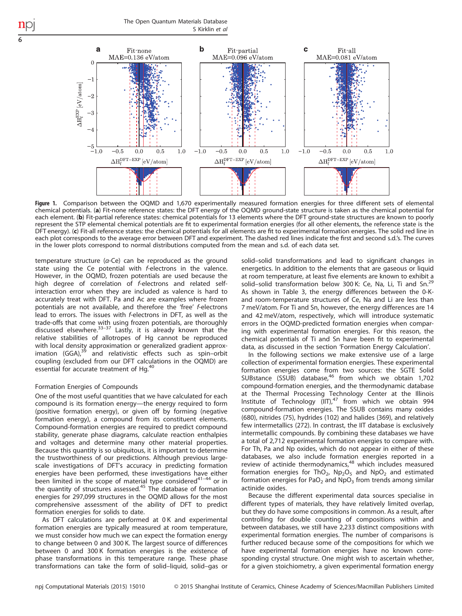The Open Quantum Materials Database S Kirklin et al



**Figure 1.** Comparison between the OQMD and 1,670 experimentally measured formation energies for three different sets of elemental<br>chemical potentials. (**a**) Fit-none reference states: the DFT energy of the OQMD ground-sta each element. (b) Fit-partial reference states: chemical potentials for 13 elements where the DFT ground-state structures are known to poorly represent the STP elemental chemical potentials are fit to experimental formation energies (for all other elements, the reference state is the DFT energy). (c) Fit-all reference states: the chemical potentials for all elements are fit to experimental formation energies. The solid red line in each plot corresponds to the average error between DFT and experiment. The dashed red lines indicate the first and second s.d.'s. The curves in the lower plots correspond to normal distributions computed from the mean and s.d. of each data set.

temperature structure ( $a$ -Ce) can be reproduced as the ground state using the Ce potential with *f*-electrons in the valence. However, in the OQMD, frozen potentials are used because the high degree of correlation of f-electrons and related selfinteraction error when they are included as valence is hard to accurately treat with DFT. Pa and Ac are examples where frozen potentials are not available, and therefore the 'free' f-electrons lead to errors. The issues with f-electrons in DFT, as well as the trade-offs that come [with](#page-13-0) using frozen potentials, are thoroughly discussed elsewhere.<sup>33–37</sup> Lastly, it is already known that the relative stabilities of allotropes of Hg cannot be reproduced with local density approximation or generalized gradient approximation  $(GGA)<sup>39</sup>$  $(GGA)<sup>39</sup>$  $(GGA)<sup>39</sup>$  and relativistic effects such as spin–orbit coupling (excluded from our DFT calculations in the OQMD) are essential for accurate treatment of Hq.<sup>[40](#page-13-0)</sup>

## Formation Energies of Compounds

<span id="page-5-0"></span>6

One of the most useful quantities that we have calculated for each compound is its formation energy—the energy required to form (positive formation energy), or given off by forming (negative formation energy), a compound from its constituent elements. Compound-formation energies are required to predict compound stability, generate phase diagrams, calculate reaction enthalpies and voltages and determine many other material properties. Because this quantity is so ubiquitous, it is important to determine the trustworthiness of our predictions. Although previous largescale investigations of DFT's accuracy in predicting formation energies have been performed, these investigations have either been limited in the scope of material type considered<sup>41-[44](#page-13-0)</sup> or in the quantity of structures assessed.<sup>[45](#page-13-0)</sup> The database of formation energies for 297,099 structures in the OQMD allows for the most comprehensive assessment of the ability of DFT to predict formation energies for solids to date.

As DFT calculations are performed at 0 K and experimental formation energies are typically measured at room temperature, we must consider how much we can expect the formation energy to change between 0 and 300 K. The largest source of differences between 0 and 300 K formation energies is the existence of phase transformations in this temperature range. These phase transformations can take the form of solid–liquid, solid–gas or solid–solid transformations and lead to significant changes in energetics. In addition to the elements that are gaseous or liquid at room temperature, at least five elements are known to exhibit a solid–solid transformation below 300 K: Ce, Na, Li, Ti and Sn.<sup>[29](#page-13-0)</sup> As shown in [Table 3](#page-3-0), the energy differences between the 0-Kand room-temperature structures of Ce, Na and Li are less than 7 meV/atom. For Ti and Sn, however, the energy differences are 14 and 42 meV/atom, respectively, which will introduce systematic errors in the OQMD-predicted formation energies when comparing with experimental formation energies. For this reason, the chemical potentials of Ti and Sn have been fit to experimental data, as discussed in the section 'Formation Energy Calculation'.

In the following sections we make extensive use of a large collection of experimental formation energies. These experimental formation energies come from two sources: the SGTE Solid SUBstance (SSUB) database,<sup>[46](#page-13-0)</sup> from which we obtain 1,702 compound-formation energies, and the thermodynamic database at the Thermal Processing Technology Center at the Illinois Institute of Technology (IIT), $47$  from which we obtain 994 compound-formation energies. The SSUB contains many oxides (680), nitrides (75), hydrides (102) and halides (369), and relatively few intermetallics (272). In contrast, the IIT database is exclusively intermetallic compounds. By combining these databases we have a total of 2,712 experimental formation energies to compare with. For Th, Pa and Np oxides, which do not appear in either of these databases, we also include formation energies reported in a review of actinide thermodynamics,[48](#page-13-0) which includes measured formation energies for ThO<sub>2</sub>,  $Np_2O_5$  and  $NpO_2$  and estimated formation energies for PaO<sub>2</sub> and NpO<sub>3</sub> from trends among similar actinide oxides.

Because the different experimental data sources specialise in different types of materials, they have relatively limited overlap, but they do have some compositions in common. As a result, after controlling for double counting of compositions within and between databases, we still have 2,233 distinct compositions with experimental formation energies. The number of comparisons is further reduced because some of the compositions for which we have experimental formation energies have no known corresponding crystal structure. One might wish to ascertain whether, for a given stoichiometry, a given experimental formation energy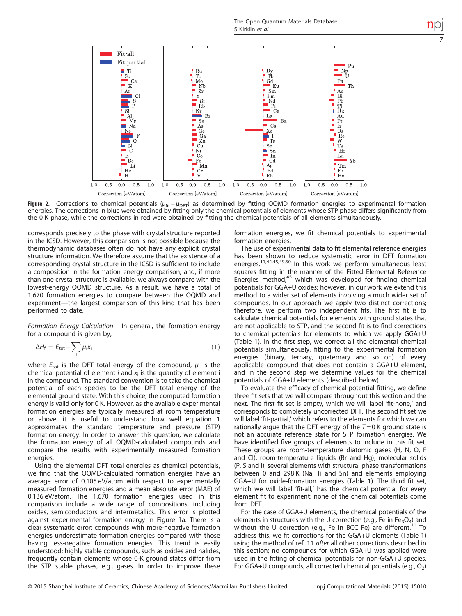<span id="page-6-0"></span>

Figure 2. Corrections to chemical potentials ( $\mu_{fit} - \mu_{DFT}$ ) as determined by fitting OQMD formation energies to experimental formation energies. The corrections in blue were obtained by fitting only the chemical potentials of elements whose STP phase differs significantly from the 0-K phase, while the corrections in red were obtained by fitting the chemical potentials of all elements simultaneously.

corresponds precisely to the phase with crystal structure reported in the ICSD. However, this comparison is not possible because the thermodynamic databases often do not have any explicit crystal structure information. We therefore assume that the existence of a corresponding crystal structure in the ICSD is sufficient to include a composition in the formation energy comparison, and, if more than one crystal structure is available, we always compare with the lowest-energy OQMD structure. As a result, we have a total of 1,670 formation energies to compare between the OQMD and experiment—the largest comparison of this kind that has been performed to date.

Formation Energy Calculation. In general, the formation energy for a compound is given by,

$$
\Delta H_{\rm f} = E_{\rm tot} - \sum_{i} \mu_{i} x_{i} \tag{1}
$$

where  $E_{\text{tot}}$  is the DFT total energy of the compound,  $\mu_i$  is the chemical potential of element *i* and  $x_i$  is the quantity of element i in the compound. The standard convention is to take the chemical potential of each species to be the DFT total energy of the elemental ground state. With this choice, the computed formation energy is valid only for 0 K. However, as the available experimental formation energies are typically measured at room temperature or above, it is useful to understand how well equation 1 approximates the standard temperature and pressure (STP) formation energy. In order to answer this question, we calculate the formation energy of all OQMD-calculated compounds and compare the results with experimentally measured formation energies.

Using the elemental DFT total energies as chemical potentials, we find that the OQMD-calculated formation energies have an average error of 0.105 eV/atom with respect to experimentally measured formation energies and a mean absolute error (MAE) of 0.136 eV/atom. The 1,670 formation energies used in this comparison include a wide range of compositions, including oxides, semiconductors and intermetallics. This error is plotted against experimental formation energy in [Figure 1a.](#page-5-0) There is a clear systematic error: compounds with more-negative formation energies underestimate formation energies compared with those having less-negative formation energies. This trend is easily understood; highly stable compounds, such as oxides and halides, frequently contain elements whose 0-K ground states differ from the STP stable phases, e.g., gases. In order to improve these formation energies, we fit chemical potentials to experimental formation energies.

The use of experimental data to fit elemental reference energies has been shown to reduce systematic error in DFT formation energies.<sup>[11](#page-13-0),[44,45,49,50](#page-13-0)</sup> In this work we perform simultaneous least squares fitting in the manner of the Fitted Elemental Reference Energies method,<sup>[45](#page-13-0)</sup> which was developed for finding chemical potentials for GGA+U oxides; however, in our work we extend this method to a wider set of elements involving a much wider set of compounds. In our approach we apply two distinct corrections; therefore, we perform two independent fits. The first fit is to calculate chemical potentials for elements with ground states that are not applicable to STP, and the second fit is to find corrections to chemical potentials for elements to which we apply GGA+U [\(Table 1\)](#page-1-0). In the first step, we correct all the elemental chemical potentials simultaneously, fitting to the experimental formation energies (binary, ternary, quaternary and so on) of every applicable compound that does not contain a GGA+U element, and in the second step we determine values for the chemical potentials of GGA+U elements (described below).

To evaluate the efficacy of chemical-potential fitting, we define three fit sets that we will compare throughout this section and the next. The first fit set is empty, which we will label 'fit-none,' and corresponds to completely uncorrected DFT. The second fit set we will label 'fit-partial,' which refers to the elements for which we can rationally argue that the DFT energy of the  $T = 0$  K ground state is not an accurate reference state for STP formation energies. We have identified five groups of elements to include in this fit set. These groups are room-temperature diatomic gases (H, N, O, F and Cl), room-temperature liquids (Br and Hg), molecular solids (P, S and I), several elements with structural phase transformations between 0 and 298 K (Na, Ti and Sn) and elements employing GGA+U for oxide-formation energies ([Table 1\)](#page-1-0). The third fit set, which we will label 'fit-all,' has the chemical potential for every element fit to experiment; none of the chemical potentials come from DFT.

For the case of GGA+U elements, the chemical potentials of the elements in structures with the U correction (e.g., Fe in Fe<sub>3</sub>O<sub>4</sub>) and without the U correction (e.g., Fe in BCC Fe) are different.<sup>[11](#page-13-0)</sup> To address this, we fit corrections for the GGA+U elements ([Table 1](#page-1-0)) using the method of ref. [11](#page-13-0) *after* all other corrections described in this section; no compounds for which GGA+U was applied were used in the fitting of chemical potentials for non-GGA+U species. For GGA+U compounds, all corrected chemical potentials (e.g.,  $O_2$ )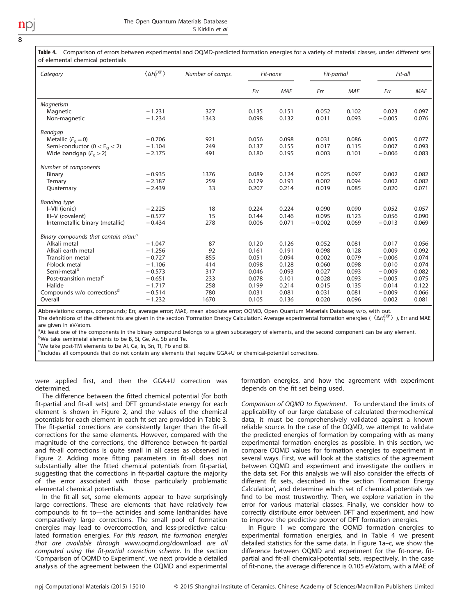|  | The Open Quantum Materials Database |                 |  |
|--|-------------------------------------|-----------------|--|
|  |                                     | S Kirklin et al |  |

<span id="page-7-0"></span>Table 4. Comparison of errors between experimental and OQMD-predicted formation energies for a variety of material classes, under different sets of elemental chemical potentials

| Category                                         | $\langle \Delta H_{\rm f}^{\rm EXP} \rangle$ | Number of comps. |       | Fit-none   | Fit-partial |       | Fit-all  |            |
|--------------------------------------------------|----------------------------------------------|------------------|-------|------------|-------------|-------|----------|------------|
|                                                  |                                              |                  | Err   | <b>MAE</b> | Err         | MAE   | Err      | <b>MAE</b> |
| Magnetism                                        |                                              |                  |       |            |             |       |          |            |
| Magnetic                                         | $-1.231$                                     | 327              | 0.135 | 0.151      | 0.052       | 0.102 | 0.023    | 0.097      |
| Non-magnetic                                     | $-1.234$                                     | 1343             | 0.098 | 0.132      | 0.011       | 0.093 | $-0.005$ | 0.076      |
| Bandgap                                          |                                              |                  |       |            |             |       |          |            |
| Metallic $(E_{\alpha}=0)$                        | $-0.706$                                     | 921              | 0.056 | 0.098      | 0.031       | 0.086 | 0.005    | 0.077      |
| Semi-conductor ( $0 < E_q < 2$ )                 | $-1.104$                                     | 249              | 0.137 | 0.155      | 0.017       | 0.115 | 0.007    | 0.093      |
| Wide bandgap $(E_{\alpha} > 2)$                  | $-2.175$                                     | 491              | 0.180 | 0.195      | 0.003       | 0.101 | $-0.006$ | 0.083      |
| Number of components                             |                                              |                  |       |            |             |       |          |            |
| <b>Binary</b>                                    | $-0.935$                                     | 1376             | 0.089 | 0.124      | 0.025       | 0.097 | 0.002    | 0.082      |
| Ternary                                          | $-2.187$                                     | 259              | 0.179 | 0.191      | 0.002       | 0.094 | 0.002    | 0.082      |
| Quaternary                                       | $-2.439$                                     | 33               | 0.207 | 0.214      | 0.019       | 0.085 | 0.020    | 0.071      |
| Bonding type                                     |                                              |                  |       |            |             |       |          |            |
| I-VII (ionic)                                    | $-2.225$                                     | 18               | 0.224 | 0.224      | 0.090       | 0.090 | 0.052    | 0.057      |
| III-V (covalent)                                 | $-0.577$                                     | 15               | 0.144 | 0.146      | 0.095       | 0.123 | 0.056    | 0.090      |
| Intermetallic binary (metallic)                  | $-0.434$                                     | 278              | 0.006 | 0.071      | $-0.002$    | 0.069 | $-0.013$ | 0.069      |
| Binary compounds that contain a/an: <sup>a</sup> |                                              |                  |       |            |             |       |          |            |
| Alkali metal                                     | $-1.047$                                     | 87               | 0.120 | 0.126      | 0.052       | 0.081 | 0.017    | 0.056      |
| Alkali earth metal                               | $-1.256$                                     | 92               | 0.161 | 0.191      | 0.098       | 0.128 | 0.009    | 0.092      |
| <b>Transition metal</b>                          | $-0.727$                                     | 855              | 0.051 | 0.094      | 0.002       | 0.079 | $-0.006$ | 0.074      |
| f-block metal                                    | $-1.106$                                     | 414              | 0.098 | 0.128      | 0.060       | 0.098 | 0.010    | 0.074      |
| Semi-metal <sup>b</sup>                          | $-0.573$                                     | 317              | 0.046 | 0.093      | 0.027       | 0.093 | $-0.009$ | 0.082      |
| Post-transition metal <sup>c</sup>               | $-0.651$                                     | 233              | 0.078 | 0.101      | 0.028       | 0.093 | $-0.005$ | 0.075      |
| Halide                                           | $-1.717$                                     | 258              | 0.199 | 0.214      | 0.015       | 0.135 | 0.014    | 0.122      |
| Compounds w/o corrections <sup>d</sup>           | $-0.514$                                     | 780              | 0.031 | 0.081      | 0.031       | 0.081 | $-0.009$ | 0.066      |
| Overall                                          | $-1.232$                                     | 1670             | 0.105 | 0.136      | 0.020       | 0.096 | 0.002    | 0.081      |

Abbreviations: comps, compounds; Err, average error; MAE, mean absolute error; OQMD, Open Quantum Materials Database; w/o, with out. The definitions of the different fits are given in the section 'Formation Energy Calculation'. Average experimental formation energies (〈ΔH $_{\rm f}^{\rm EXP}$ 〉), Err and MAE are given in eV/atom.

<sup>a</sup>At least one of the components in the binary compound belongs to a given subcategory of elements, and the second component can be any element. bWe take semimetal elements to be B, Si, Ge, As, Sb and Te.

<sup>c</sup>We take post-TM elements to be Al, Ga, In, Sn, Tl, Pb and Bi.

<sup>d</sup>Includes all compounds that do not contain any elements that require GGA+U or chemical-potential corrections.

were applied first, and then the GGA+U correction was determined.

The difference between the fitted chemical potential (for both fit-partial and fit-all sets) and DFT ground-state energy for each element is shown in [Figure 2,](#page-6-0) and the values of the chemical potentials for each element in each fit set are provided in [Table 3.](#page-3-0) The fit-partial corrections are consistently larger than the fit-all corrections for the same elements. However, compared with the magnitude of the corrections, the difference between fit-partial and fit-all corrections is quite small in all cases as observed in [Figure 2](#page-6-0). Adding more fitting parameters in fit-all does not substantially alter the fitted chemical potentials from fit-partial, suggesting that the corrections in fit-partial capture the majority of the error associated with those particularly problematic elemental chemical potentials.

In the fit-all set, some elements appear to have surprisingly large corrections. These are elements that have relatively few compounds to fit to—the actinides and some lanthanides have comparatively large corrections. The small pool of formation energies may lead to overcorrection, and less-predictive calculated formation energies. For this reason, the formation energies that are available through <www.oqmd.org/download> are all computed using the fit-partial correction scheme. In the section 'Comparison of OQMD to Experiment', we next provide a detailed analysis of the agreement between the OQMD and experimental

formation energies, and how the agreement with experiment depends on the fit set being used.

Comparison of OQMD to Experiment. To understand the limits of applicability of our large database of calculated thermochemical data, it must be comprehensively validated against a known reliable source. In the case of the OQMD, we attempt to validate the predicted energies of formation by comparing with as many experimental formation energies as possible. In this section, we compare OQMD values for formation energies to experiment in several ways. First, we will look at the statistics of the agreement between OQMD and experiment and investigate the outliers in the data set. For this analysis we will also consider the effects of different fit sets, described in the section 'Formation Energy Calculation', and determine which set of chemical potentials we find to be most trustworthy. Then, we explore variation in the error for various material classes. Finally, we consider how to correctly distribute error between DFT and experiment, and how to improve the predictive power of DFT-formation energies.

In [Figure 1](#page-5-0) we compare the OQMD formation energies to experimental formation energies, and in Table 4 we present detailed statistics for the same data. In [Figure 1a](#page-5-0)–c, we show the difference between OQMD and experiment for the fit-none, fitpartial and fit-all chemical-potential sets, respectively. In the case of fit-none, the average difference is 0.105 eV/atom, with a MAE of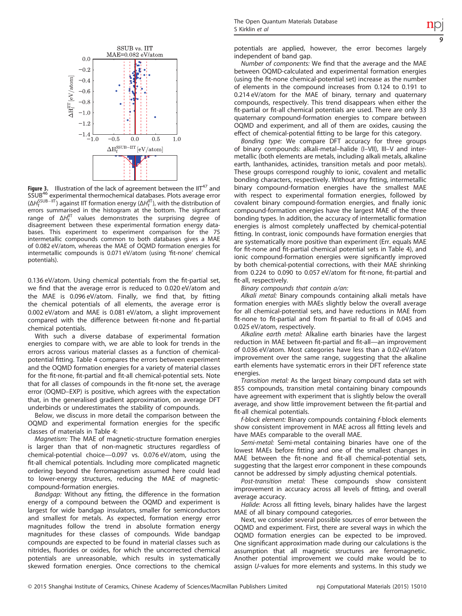<span id="page-8-0"></span>

Figure [3.](#page-13-0) Illustration of the lack of agreement between the  $IIT^{47}$  and SSUB46 experimental thermochemical databases. Plots average error (ΔH<sup>SSUB-IIT</sup>) against IIT formation energy (ΔH<sup>IT</sup>), with the distribution of errors summarised in the histogram at the bottom. The significant range of  $\Delta H_{\rm f}^{\rm IT}$  values demonstrates the surprising degree of disagreement between these experimental formation energy databases. This experiment to experiment comparison for the 75 intermetallic compounds common to both databases gives a MAE of 0.082 eV/atom, whereas the MAE of OQMD formation energies for intermetallic compounds is 0.071 eV/atom (using 'fit-none' chemical potentials).

0.136 eV/atom. Using chemical potentials from the fit-partial set, we find that the average error is reduced to 0.020 eV/atom and the MAE is 0.096 eV/atom. Finally, we find that, by fitting the chemical potentials of all elements, the average error is 0.002 eV/atom and MAE is 0.081 eV/atom, a slight improvement compared with the difference between fit-none and fit-partial chemical potentials.

With such a diverse database of experimental formation energies to compare with, we are able to look for trends in the errors across various material classes as a function of chemicalpotential fitting. [Table 4](#page-7-0) compares the errors between experiment and the OQMD formation energies for a variety of material classes for the fit-none, fit-partial and fit-all chemical-potential sets. Note that for all classes of compounds in the fit-none set, the average error (OQMD–EXP) is positive, which agrees with the expectation that, in the generalised gradient approximation, on average DFT underbinds or underestimates the stability of compounds.

Below, we discuss in more detail the comparison between the OQMD and experimental formation energies for the specific classes of materials in [Table 4:](#page-7-0)

Magnetism: The MAE of magnetic-structure formation energies is larger than that of non-magnetic structures regardless of chemical-potential choice—0.097 vs. 0.076 eV/atom, using the fit-all chemical potentials. Including more complicated magnetic ordering beyond the ferromagnetism assumed here could lead to lower-energy structures, reducing the MAE of magneticcompound-formation energies.

Bandgap: Without any fitting, the difference in the formation energy of a compound between the OQMD and experiment is largest for wide bandgap insulators, smaller for semiconductors and smallest for metals. As expected, formation energy error magnitudes follow the trend in absolute formation energy magnitudes for these classes of compounds. Wide bandgap compounds are expected to be found in material classes such as nitrides, fluorides or oxides, for which the uncorrected chemical potentials are unreasonable, which results in systematically skewed formation energies. Once corrections to the chemical potentials are applied, however, the error becomes largely independent of band gap.

9

Number of components: We find that the average and the MAE between OQMD-calculated and experimental formation energies (using the fit-none chemical-potential set) increase as the number of elements in the compound increases from 0.124 to 0.191 to 0.214 eV/atom for the MAE of binary, ternary and quaternary compounds, respectively. This trend disappears when either the fit-partial or fit-all chemical potentials are used. There are only 33 quaternary compound-formation energies to compare between OQMD and experiment, and all of them are oxides, causing the effect of chemical-potential fitting to be large for this category.

Bonding type: We compare DFT accuracy for three groups of binary compounds: alkali-metal–halide (I–VII), III–V and intermetallic (both elements are metals, including alkali metals, alkaline earth, lanthanides, actinides, transition metals and poor metals). These groups correspond roughly to ionic, covalent and metallic bonding characters, respectively. Without any fitting, intermetallic binary compound-formation energies have the smallest MAE with respect to experimental formation energies, followed by covalent binary compound-formation energies, and finally ionic compound-formation energies have the largest MAE of the three bonding types. In addition, the accuracy of intermetallic formation energies is almost completely unaffected by chemical-potential fitting. In contrast, ionic compounds have formation energies that are systematically more positive than experiment (Err. equals MAE for fit-none and fit-partial chemical potential sets in [Table 4\)](#page-7-0), and ionic compound-formation energies were significantly improved by both chemical-potential corrections, with their MAE shrinking from 0.224 to 0.090 to 0.057 eV/atom for fit-none, fit-partial and fit-all, respectively.

Binary compounds that contain a/an:

Alkali metal: Binary compounds containing alkali metals have formation energies with MAEs slightly below the overall average for all chemical-potential sets, and have reductions in MAE from fit-none to fit-partial and from fit-partial to fit-all of 0.045 and 0.025 eV/atom, respectively.

Alkaline earth metal: Alkaline earth binaries have the largest reduction in MAE between fit-partial and fit-all—an improvement of 0.036 eV/atom. Most categories have less than a 0.02-eV/atom improvement over the same range, suggesting that the alkaline earth elements have systematic errors in their DFT reference state energies.

Transition metal: As the largest binary compound data set with 855 compounds, transition metal containing binary compounds have agreement with experiment that is slightly below the overall average, and show little improvement between the fit-partial and fit-all chemical potentials.

f-block element: Binary compounds containing f-block elements show consistent improvement in MAE across all fitting levels and have MAEs comparable to the overall MAE.

Semi-metal: Semi-metal containing binaries have one of the lowest MAEs before fitting and one of the smallest changes in MAE between the fit-none and fit-all chemical-potential sets, suggesting that the largest error component in these compounds cannot be addressed by simply adjusting chemical potentials.

Post-transition metal: These compounds show consistent improvement in accuracy across all levels of fitting, and overall average accuracy.

Halide: Across all fitting levels, binary halides have the largest MAE of all binary compound categories.

Next, we consider several possible sources of error between the OQMD and experiment. First, there are several ways in which the OQMD formation energies can be expected to be improved. One significant approximation made during our calculations is the assumption that all magnetic structures are ferromagnetic. Another potential improvement we could make would be to assign U-values for more elements and systems. In this study we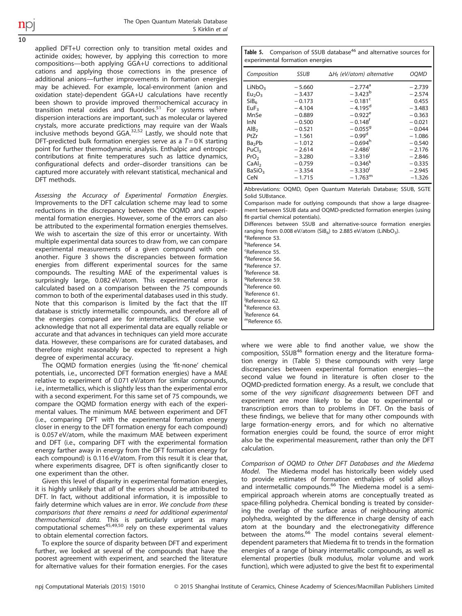10

applied DFT+U correction only to transition metal oxides and actinide oxides; however, by applying this correction to more compositions—both applying GGA+U corrections to additional cations and applying those corrections in the presence of additional anions—further improvements in formation energies may be achieved. For example, local-environment (anion and oxidation state)-dependent GGA+U calculations have recently been shown to provide improved thermochemical accuracy in transition metal oxides and fluorides.<sup>[51](#page-13-0)</sup> For systems where dispersion interactions are important, such as molecular or layered crystals, more accurate predictions may require van der Waals inclusive methods beyond GGA.<sup>[32,52](#page-13-0)</sup> Lastly, we should note that DFT-predicted bulk formation energies serve as a  $T = 0$  K starting point for further thermodynamic analysis. Enthalpic and entropic contributions at finite temperatures such as lattice dynamics, configurational defects and order–disorder transitions can be captured more accurately with relevant statistical, mechanical and DFT methods.

Assessing the Accuracy of Experimental Formation Energies. Improvements to the DFT calculation scheme may lead to some reductions in the discrepancy between the OQMD and experimental formation energies. However, some of the errors can also be attributed to the experimental formation energies themselves. We wish to ascertain the size of this error or uncertainty. With multiple experimental data sources to draw from, we can compare experimental measurements of a given compound with one another. [Figure 3](#page-8-0) shows the discrepancies between formation energies from different experimental sources for the same compounds. The resulting MAE of the experimental values is surprisingly large, 0.082 eV/atom. This experimental error is calculated based on a comparison between the 75 compounds common to both of the experimental databases used in this study. Note that this comparison is limited by the fact that the IIT database is strictly intermetallic compounds, and therefore all of the energies compared are for intermetallics. Of course we acknowledge that not all experimental data are equally reliable or accurate and that advances in techniques can yield more accurate data. However, these comparisons are for curated databases, and therefore might reasonably be expected to represent a high degree of experimental accuracy.

The OQMD formation energies (using the 'fit-none' chemical potentials, i.e., uncorrected DFT formation energies) have a MAE relative to experiment of 0.071 eV/atom for similar compounds, i.e., intermetallics, which is slightly less than the experimental error with a second experiment. For this same set of 75 compounds, we compare the OQMD formation energy with each of the experimental values. The minimum MAE between experiment and DFT (i.e., comparing DFT with the experimental formation energy closer in energy to the DFT formation energy for each compound) is 0.057 eV/atom, while the maximum MAE between experiment and DFT (i.e., comparing DFT with the experimental formation energy farther away in energy from the DFT formation energy for each compound) is 0.116 eV/atom. From this result it is clear that, where experiments disagree, DFT is often significantly closer to one experiment than the other.

Given this level of disparity in experimental formation energies, it is highly unlikely that all of the errors should be attributed to DFT. In fact, without additional information, it is impossible to fairly determine which values are in error. We conclude from these comparisons that there remains a need for additional experimental thermochemical data. This is particularly urgent as many computational schemes<sup>[45,49,50](#page-13-0)</sup> rely on these experimental values to obtain elemental correction factors.

To explore the source of disparity between DFT and experiment further, we looked at several of the compounds that have the poorest agreement with experiment, and searched the literature for alternative values for their formation energies. For the cases

| Table 5. Comparison of SSUB database <sup>46</sup> and alternative sources for |
|--------------------------------------------------------------------------------|
| experimental formation energies                                                |

| Composition                    | SSUB     | $\Delta H_f$ (eV/atom) alternative | <i>OOMD</i> |
|--------------------------------|----------|------------------------------------|-------------|
| LiNbO <sub>3</sub>             | $-5.660$ | $-2.774$ <sup>a</sup>              | $-2.739$    |
| Eu <sub>2</sub> O <sub>3</sub> | $-3.437$ | $-3.423^b$                         | $-2.574$    |
| SiB <sub>6</sub>               | $-0.173$ | $-0.181^{\circ}$                   | 0.455       |
| EuF <sub>3</sub>               | $-4.104$ | $-4.195$ <sup>d</sup>              | $-3.483$    |
| MnSe                           | $-0.889$ | $-0.922^e$                         | $-0.363$    |
| lnN                            | $-0.500$ | $-0.148$ <sup>t</sup>              | $-0.021$    |
| AlB <sub>2</sub>               | $-0.521$ | $-0.0559$                          | $-0.044$    |
| PtZr                           | $-1.561$ | $-0.99$ <sup>d</sup>               | $-1.086$    |
| Ba <sub>2</sub> Pb             | $-1.012$ | $-0.694h$                          | $-0.540$    |
| PuCl <sub>3</sub>              | $-2.614$ | $-2.486$ <sup>1</sup>              | $-2.176$    |
| Pro <sub>2</sub>               | $-3.280$ | $-3.316$                           | $-2.846$    |
| CaAl <sub>2</sub>              | $-0.759$ | $-0.346^{k}$                       | $-0.335$    |
| BaSiO <sub>3</sub>             | $-3.354$ | $-3.330$ <sup>1</sup>              | $-2.945$    |
| CeN                            | $-1.715$ | $-1.763^{\rm m}$                   | $-1.326$    |

Abbreviations: OQMD, Open Quantum Materials Database; SSUB, SGTE Solid SUBstance.

Comparison made for outlying compounds that show a large disagreement between SSUB data and OQMD-predicted formation energies (using fit-partial chemical potentials).

Differences between SSUB and alternative-source formation energies ranging from 0.008 eV/atom (SiB<sub>6</sub>) to 2.885 eV/atom (LiNbO<sub>3</sub>).

Reference [53](#page-13-0). b Reference [54.](#page-13-0) <sup>c</sup>Reference [55.](#page-13-0) d Reference [56.](#page-13-0) e Reference [57](#page-14-0). f Reference [58](#page-14-0). <sup>g</sup>Reference [59.](#page-14-0) h Reference [60.](#page-14-0) i Reference [61.](#page-14-0) <sup>j</sup>Reference [62.](#page-14-0) k Reference [63](#page-14-0). l Reference [64.](#page-14-0) mReference [65](#page-14-0).

where we were able to find another value, we show the composition, SSUB<sup>[46](#page-13-0)</sup> formation energy and the literature formation energy in (Table 5) these compounds with very large discrepancies between experimental formation energies—the second value we found in literature is often closer to the OQMD-predicted formation energy. As a result, we conclude that some of the very significant disagreements between DFT and experiment are more likely to be due to experimental or transcription errors than to problems in DFT. On the basis of these findings, we believe that for many other compounds with large formation-energy errors, and for which no alternative formation energies could be found, the source of error might also be the experimental measurement, rather than only the DFT calculation.

Comparison of OQMD to Other DFT Databases and the Miedema Model. The Miedema model has historically been widely used to provide estimates of formation enthalpies of solid alloys and intermetallic compounds.<sup>[66](#page-14-0)</sup> The Miedema model is a semiempirical approach wherein atoms are conceptually treated as space-filling polyhedra. Chemical bonding is treated by considering the overlap of the surface areas of neighbouring atomic polyhedra, weighted by the difference in charge density of each atom at the boundary and the electronegativity difference between the atoms.<sup>[66](#page-14-0)</sup> The model contains several elementdependent parameters that Miedema fit to trends in the formation energies of a range of binary intermetallic compounds, as well as elemental properties (bulk modulus, molar volume and work function), which were adjusted to give the best fit to experimental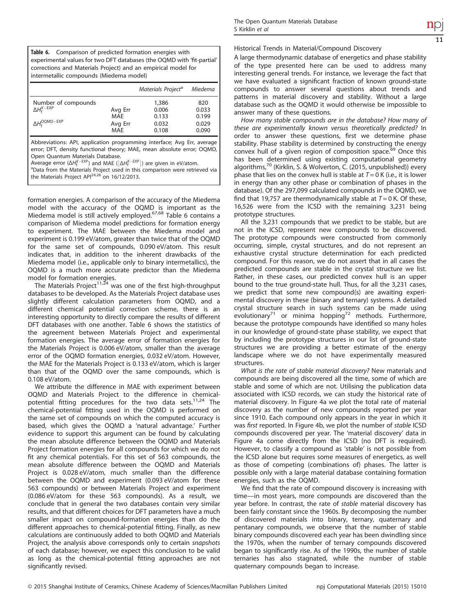Table 6. Comparison of predicted formation energies with experimental values for two DFT databases (the OQMD with 'fit-partial' corrections and Materials Project) and an empirical model for intermetallic compounds (Miedema model)

|                                                                                              |                                  | Materials Project <sup>a</sup>            | Miedema                                 |
|----------------------------------------------------------------------------------------------|----------------------------------|-------------------------------------------|-----------------------------------------|
| Number of compounds<br>$\Delta H_{\epsilon}^{X-EXP}$<br>$\Delta H_{\epsilon}^{\rm OQMD-EXP}$ | Avg Err<br>MAE<br>Avg Err<br>MAE | 1,386<br>0.006<br>0.133<br>0.032<br>0.108 | 820<br>0.033<br>0.199<br>0.029<br>0.090 |

Abbreviations: API, application programming interface; Avg Err, average error; DFT, density functional theory; MAE, mean absolute error; OQMD, Open Quantum Materials Database.

Average error (ΔH<sup>X-EXP</sup>) and MAE ( $|\Delta H_{\rm f}^{\rm X-EXP}|$ ) are given in eV/atom.<br><sup>a</sup>Data from the Materials Project used in this comparison were retrie

<sup>a</sup>Data from the Materials Project used in this comparison were retrieved via the Materials Project API<sup>[24,26](#page-13-0)</sup> on 16/12/2013.

formation energies. A comparison of the accuracy of the Miedema model with the accuracy of the OQMD is important as the Miedema model is still actively employed.[67,68](#page-14-0) Table 6 contains a comparison of Miedema model predictions for formation energy to experiment. The MAE between the Miedema model and experiment is 0.199 eV/atom, greater than twice that of the OQMD for the same set of compounds, 0.090 eV/atom. This result indicates that, in addition to the inherent drawbacks of the Miedema model (i.e., applicable only to binary intermetallics), the OQMD is a much more accurate predictor than the Miedema model for formation energies.

The Materials Project<sup>[11,24](#page-13-0)</sup> was one of the first high-throughput databases to be developed. As the Materials Project database uses slightly different calculation parameters from OQMD, and a different chemical potential correction scheme, there is an interesting opportunity to directly compare the results of different DFT databases with one another. Table 6 shows the statistics of the agreement between Materials Project and experimental formation energies. The average error of formation energies for the Materials Project is 0.006 eV/atom, smaller than the average error of the OQMD formation energies, 0.032 eV/atom. However, the MAE for the Materials Project is 0.133 eV/atom, which is larger than that of the OQMD over the same compounds, which is 0.108 eV/atom.

We attribute the difference in MAE with experiment between OQMD and Materials Project to the difference in chemical-potential fitting procedures for the two data sets.<sup>[11](#page-13-0),[24](#page-13-0)</sup> The chemical-potential fitting used in the OQMD is performed on the same set of compounds on which the computed accuracy is based, which gives the OQMD a 'natural advantage.' Further evidence to support this argument can be found by calculating the mean absolute difference between the OQMD and Materials Project formation energies for all compounds for which we do not fit any chemical potentials. For this set of 563 compounds, the mean absolute difference between the OQMD and Materials Project is 0.028 eV/atom, much smaller than the difference between the OQMD and experiment (0.093 eV/atom for these 563 compounds) or between Materials Project and experiment (0.086 eV/atom for these 563 compounds). As a result, we conclude that in general the two databases contain very similar results, and that different choices for DFT parameters have a much smaller impact on compound-formation energies than do the different approaches to chemical-potential fitting. Finally, as new calculations are continuously added to both OQMD and Materials Project, the analysis above corresponds only to certain snapshots of each database; however, we expect this conclusion to be valid as long as the chemical-potential fitting approaches are not significantly revised.

Historical Trends in Material/Compound Discovery

A large thermodynamic database of energetics and phase stability of the type presented here can be used to address many interesting general trends. For instance, we leverage the fact that we have evaluated a significant fraction of known ground-state compounds to answer several questions about trends and patterns in material discovery and stability. Without a large database such as the OQMD it would otherwise be impossible to answer many of these questions.

How many stable compounds are in the database? How many of these are experimentally known versus theoretically predicted? In order to answer these questions, first we determine phase stability. Phase stability is determined by constructing the energy convex hull of a given region of composition space.<sup>[69](#page-14-0)</sup> Once this has been determined using existing computational geometry algorithms,<sup>[70](#page-14-0)</sup> (Kirklin, S. & Wolverton, C. (2015, unpublished)) every phase that lies on the convex hull is stable at  $T = 0$  K (i.e., it is lower in energy than any other phase or combination of phases in the database). Of the 297,099 calculated compounds in the OQMD, we find that 19,757 are thermodynamically stable at  $T = 0$  K. Of these, 16,526 were from the ICSD with the remaining 3,231 being prototype structures.

All the 3,231 compounds that we predict to be stable, but are not in the ICSD, represent new compounds to be discovered. The prototype compounds were constructed from commonly occurring, simple, crystal structures, and do not represent an exhaustive crystal structure determination for each predicted compound. For this reason, we do not assert that in all cases the predicted compounds are stable in the crystal structure we list. Rather, in these cases, our predicted convex hull is an upper bound to the true ground-state hull. Thus, for all the 3,231 cases, we predict that some new compound(s) are awaiting experimental discovery in these (binary and ternary) systems. A detailed crystal structure search in such systems can be made using evolutionary<sup>[71](#page-14-0)</sup> or minima hopping<sup>[72](#page-14-0)</sup> methods. Furthermore, because the prototype compounds have identified so many holes in our knowledge of ground-state phase stability, we expect that by including the prototype structures in our list of ground-state structures we are providing a better estimate of the energy landscape where we do not have experimentally measured structures.

What is the rate of stable material discovery? New materials and compounds are being discovered all the time, some of which are stable and some of which are not. Utilising the publication data associated with ICSD records, we can study the historical rate of material discovery. In [Figure 4a](#page-11-0) we plot the total rate of material discovery as the number of new compounds reported per year since 1910. Each compound only appears in the year in which it was first reported. In [Figure 4b,](#page-11-0) we plot the number of stable ICSD compounds discovered per year. The 'material discovery' data in [Figure 4a](#page-11-0) come directly from the ICSD (no DFT is required). However, to classify a compound as 'stable' is not possible from the ICSD alone but requires some measures of energetics, as well as those of competing (combinations of) phases. The latter is possible only with a large material database containing formation energies, such as the OQMD.

We find that the rate of compound discovery is increasing with time—in most years, more compounds are discovered than the year before. In contrast, the rate of stable material discovery has been fairly constant since the 1960s. By decomposing the number of discovered materials into binary, ternary, quaternary and pentanary compounds, we observe that the number of stable binary compounds discovered each year has been dwindling since the 1970s, when the number of ternary compounds discovered began to significantly rise. As of the 1990s, the number of stable ternaries has also stagnated, while the number of stable quaternary compounds began to increase.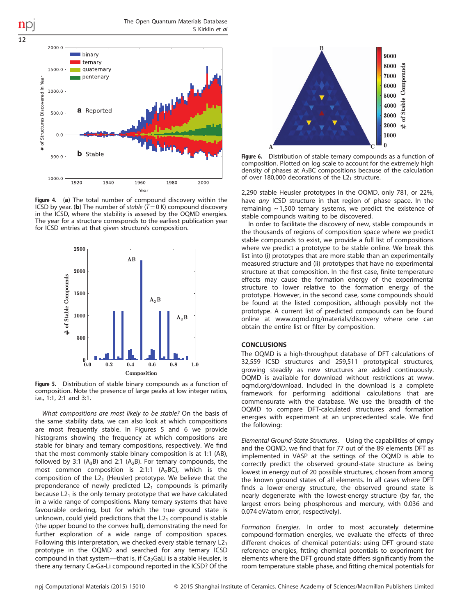The Open Quantum Materials Database S Kirklin et al



<span id="page-11-0"></span>12

Figure 4. (a) The total number of compound discovery within the ICSD by year. (b) The number of stable  $(T=0 K)$  compound discovery in the ICSD, where the stability is assesed by the OQMD energies. The year for a structure corresponds to the earliest publication year for ICSD entries at that given structure's composition.



Figure 5. Distribution of stable binary compounds as a function of composition. Note the presence of large peaks at low integer ratios, i.e., 1:1, 2:1 and 3:1.

What compositions are most likely to be stable? On the basis of the same stability data, we can also look at which compositions are most frequently stable. In Figures 5 and 6 we provide histograms showing the frequency at which compositions are stable for binary and ternary compositions, respectively. We find that the most commonly stable binary composition is at 1:1 (AB), followed by 3:1 (A<sub>3</sub>B) and 2:1 (A<sub>2</sub>B). For ternary compounds, the most common composition is 2:1:1  $(A<sub>2</sub>BC)$ , which is the composition of the  $L2<sub>1</sub>$  (Heusler) prototype. We believe that the preponderance of newly predicted  $L2<sub>1</sub>$  compounds is primarily because  $L2<sub>1</sub>$  is the only ternary prototype that we have calculated in a wide range of compositions. Many ternary systems that have favourable ordering, but for which the true ground state is unknown, could yield predictions that the  $L2<sub>1</sub>$  compound is stable (the upper bound to the convex hull), demonstrating the need for further exploration of a wide range of composition spaces. Following this interpretation, we checked every stable ternary  $L2<sub>1</sub>$ prototype in the OQMD and searched for any ternary ICSD compound in that system—that is, if  $Ca<sub>2</sub>GaLi$  is a stable Heusler, is there any ternary Ca-Ga-Li compound reported in the ICSD? Of the



Figure 6. Distribution of stable ternary compounds as a function of composition. Plotted on log scale to account for the extremely high density of phases at  $A_2BC$  compositions because of the calculation of over 180,000 decorations of the  $L2<sub>1</sub>$  structure.

2,290 stable Heusler prototypes in the OQMD, only 781, or 22%, have any ICSD structure in that region of phase space. In the remaining  $\sim$  1,500 ternary systems, we predict the existence of stable compounds waiting to be discovered.

In order to facilitate the discovery of new, stable compounds in the thousands of regions of composition space where we predict stable compounds to exist, we provide a full list of compositions where we predict a prototype to be stable online. We break this list into (i) prototypes that are more stable than an experimentally measured structure and (ii) prototypes that have no experimental structure at that composition. In the first case, finite-temperature effects may cause the formation energy of the experimental structure to lower relative to the formation energy of the prototype. However, in the second case, some compounds should be found at the listed composition, although possibly not the prototype. A current list of predicted compounds can be found online at<www.oqmd.org/materials/discovery> where one can obtain the entire list or filter by composition.

## CONCLUSIONS

The OQMD is a high-throughput database of DFT calculations of 32,559 ICSD structures and 259,511 prototypical structures, growing steadily as new structures are added continuously. OQMD is available for download without restrictions at [www.](www.oqmd.org/download) [oqmd.org/download.](www.oqmd.org/download) Included in the download is a complete framework for performing additional calculations that are commensurate with the database. We use the breadth of the OQMD to compare DFT-calculated structures and formation energies with experiment at an unprecedented scale. We find the following:

Elemental Ground-State Structures. Using the capabilities of qmpy and the OQMD, we find that for 77 out of the 89 elements DFT as implemented in VASP at the settings of the OQMD is able to correctly predict the observed ground-state structure as being lowest in energy out of 20 possible structures, chosen from among the known ground states of all elements. In all cases where DFT finds a lower-energy structure, the observed ground state is nearly degenerate with the lowest-energy structure (by far, the largest errors being phosphorous and mercury, with 0.036 and 0.074 eV/atom error, respectively).

Formation Energies. In order to most accurately determine compound-formation energies, we evaluate the effects of three different choices of chemical potentials: using DFT ground-state reference energies, fitting chemical potentials to experiment for elements where the DFT ground state differs significantly from the room temperature stable phase, and fitting chemical potentials for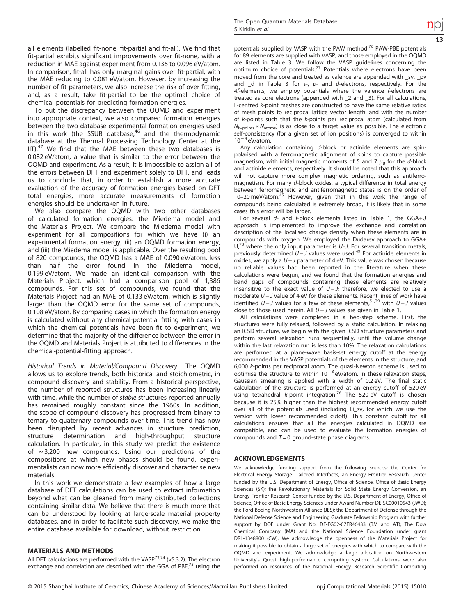all elements (labelled fit-none, fit-partial and fit-all). We find that fit-partial exhibits significant improvements over fit-none, with a reduction in MAE against experiment from 0.136 to 0.096 eV/atom. In comparison, fit-all has only marginal gains over fit-partial, with the MAE reducing to 0.081 eV/atom. However, by increasing the number of fit parameters, we also increase the risk of over-fitting, and, as a result, take fit-partial to be the optimal choice of chemical potentials for predicting formation energies.

To put the discrepancy between the OQMD and experiment into appropriate context, we also compared formation energies between the two database experimental formation energies used in this work (the SSUB database, $46$  and the thermodynamic database at the Thermal Processing Technology Center at the  $IIT$ ).<sup>[47](#page-13-0)</sup> We find that the MAE between these two databases is 0.082 eV/atom, a value that is similar to the error between the OQMD and experiment. As a result, it is impossible to assign all of the errors between DFT and experiment solely to DFT, and leads us to conclude that, in order to establish a more accurate evaluation of the accuracy of formation energies based on DFT total energies, more accurate measurements of formation energies should be undertaken in future.

We also compare the OQMD with two other databases of calculated formation energies: the Miedema model and the Materials Project. We compare the Miedema model with experiment for all compositions for which we have (i) an experimental formation energy, (ii) an OQMD formation energy, and (iii) the Miedema model is applicable. Over the resulting pool of 820 compounds, the OQMD has a MAE of 0.090 eV/atom, less than half the error found in the Miedema model, 0.199 eV/atom. We made an identical comparison with the Materials Project, which had a comparison pool of 1,386 compounds. For this set of compounds, we found that the Materials Project had an MAE of 0.133 eV/atom, which is slightly larger than the OQMD error for the same set of compounds, 0.108 eV/atom. By comparing cases in which the formation energy is calculated without any chemical-potential fitting with cases in which the chemical potentials have been fit to experiment, we determine that the majority of the difference between the error in the OQMD and Materials Project is attributed to differences in the chemical-potential-fitting approach.

Historical Trends in Material/Compound Discovery. The OQMD allows us to explore trends, both historical and stoichiometric, in compound discovery and stability. From a historical perspective, the number of reported structures has been increasing linearly with time, while the number of *stable* structures reported annually has remained roughly constant since the 1960s. In addition, the scope of compound discovery has progressed from binary to ternary to quaternary compounds over time. This trend has now been disrupted by recent advances in structure prediction, structure determination and high-throughput structure calculation. In particular, in this study we predict the existence of  $\sim$  3,200 new compounds. Using our predictions of the compositions at which new phases should be found, experimentalists can now more efficiently discover and characterise new materials.

In this work we demonstrate a few examples of how a large database of DFT calculations can be used to extract information beyond what can be gleaned from many distributed collections containing similar data. We believe that there is much more that can be understood by looking at large-scale material property databases, and in order to facilitate such discovery, we make the entire database available for download, without restriction.

## MATERIALS AND METHODS

All DFT calculations are performed with the VASP $^{73,74}$  $^{73,74}$  $^{73,74}$  (v5.3.2). The electron exchange and correlation are described with the GGA of PBE,<sup>[75](#page-14-0)</sup> using the 13

potentials supplied by VASP with the PAW method.<sup>76</sup> PAW-PBE potentials for 89 elements are supplied with VASP, and those employed in the OQMD are listed in [Table 3.](#page-3-0) We follow the VASP guidelines concerning the optimum choice of potentials.<sup>77</sup> Potentials where electrons have been moved from the core and treated as valence are appended with \_sv, \_pv and  $-d$  in [Table 3](#page-3-0) for  $s$ -,  $p$ - and  $d$ -electrons, respectively. For the 4f-elements, we employ potentials where the valence f-electrons are treated as core electrons (appended with \_2 and \_3). For all calculations, Γ-centred k-point meshes are constructed to have the same relative ratios of mesh points to reciprocal lattice vector length, and with the number of k-points such that the k-points per reciprocal atom (calculated from  $N_{k-\text{points}} \times N_{\text{atoms}}$  is as close to a target value as possible. The electronic self-consistency (for a given set of ion positions) is converged to within  $10^{-4}$  eV/atom.

Any calculation containing d-block or actinide elements are spinpolarised with a ferromagnetic alignment of spins to capture possible magnetism, with initial magnetic moments of 5 and 7  $\mu$ B for the d-block and actinide elements, respectively. It should be noted that this approach will not capture more complex magnetic ordering, such as antiferromagnetism. For many d-block oxides, a typical difference in total energy between ferromagnetic and antiferromagnetic states is on the order of 10–20 meV/atom. $45$  However, given that in this work the range of compounds being calculated is extremely broad, it is likely that in some cases this error will be larger.

For several d- and f-block elements listed in [Table 1](#page-1-0), the GGA+U approach is implemented to improve the exchange and correlation description of the localised charge density when these elements are in compounds with oxygen. We employed the Dudarev approach to GGA+  $U_{\nu}^{78}$  $U_{\nu}^{78}$  $U_{\nu}^{78}$  where the only input parameter is U–J. For several transition metals, previously determined U − J values were used.<sup>[49](#page-13-0)</sup> For actinide elements in oxides, we apply a U − J parameter of 4 eV. This value was chosen because no reliable values had been reported in the literature when these calculations were begun, and we found that the formation energies and band gaps of compounds containing these elements are relatively insensitive to the exact value of  $U - J$ ; therefore, we elected to use a moderate U − J value of 4 eV for these elements. Recent lines of work have identified  $U - J$  values for a few of these elements,<sup>[51,](#page-13-0)[79](#page-14-0)</sup> with  $U - J$  values close to those used herein. All *U* − *J* values are given in [Table 1.](#page-1-0)

All calculations were completed in a two-step scheme. First, the structures were fully relaxed, followed by a static calculation. In relaxing an ICSD structure, we begin with the given ICSD structure parameters and perform several relaxation runs sequentially, until the volume change within the last relaxation run is less than 10%. The relaxation calculations are performed at a plane-wave basis-set energy cutoff at the energy recommended in the VASP potentials of the elements in the structure, and 6,000 k-points per reciprocal atom. The quasi-Newton scheme is used to optimise the structure to within  $10^{-3}$  eV/atom. In these relaxation steps, Gaussian smearing is applied with a width of 0.2 eV. The final static calculation of the structure is performed at an energy cutoff of 520 eV using tetrahedral *k*-point integration.<sup>[76](#page-14-0)</sup> The 520-eV cutoff is chosen because it is 25% higher than the highest recommended energy cutoff over all of the potentials used (including Li\_sv, for which we use the version with lower recommended cutoff). This constant cutoff for all calculations ensures that all the energies calculated in OQMD are compatible, and can be used to evaluate the formation energies of compounds and  $T = 0$  ground-state phase diagrams.

## ACKNOWLEDGEMENTS

We acknowledge funding support from the following sources: the Center for Electrical Energy Storage: Tailored Interfaces, an Energy Frontier Research Center funded by the U.S. Department of Energy, Office of Science, Office of Basic Energy Sciences (SK); the Revolutionary Materials for Solid State Energy Conversion, an Energy Frontier Research Center funded by the U.S. Department of Energy, Office of Science, Office of Basic Energy Sciences under Award Number DE-SC00010543 (JWD); the Ford-Boeing-Northwestern Alliance (JES); the Department of Defense through the National Defense Science and Engineering Graduate Fellowship Program with further support by DOE under Grant No. DE-FG02-07ER46433 (BM and AT); The Dow Chemical Company (MA) and the National Science Foundation under grant DRL-1348800 (CW). We acknowledge the openness of the Materials Project for making it possible to obtain a large set of energies with which to compare with the OQMD and experiment. We acknowledge a large allocation on Northwestern University's Quest high-performance computing system. Calculations were also performed on resources of the National Energy Research Scientific Computing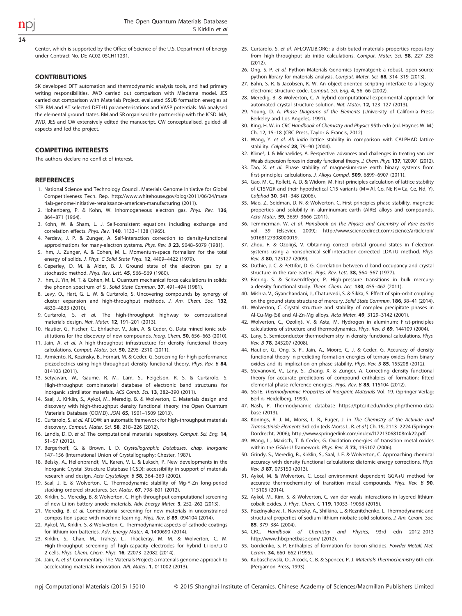14

Center, which is supported by the Office of Science of the U.S. Department of Energy under Contract No. DE-AC02-05CH11231.

#### CONTRIBUTIONS

SK developed DFT automation and thermodynamic analysis tools, and had primary writing responsibilities. JWD carried out comparison with Miedema model. JES carried out comparison with Materials Project, evaluated SSUB formation energies at STP. BM and AT selected DFT+U parameterisations and VASP potentials. MA analysed the elemental ground states. BM and SR organised the partnership with the ICSD. MA, JWD, JES and CW extensively edited the manuscript. CW conceptualised, guided all aspects and led the project.

#### COMPETING INTERESTS

The authors declare no conflict of interest.

#### REFERENCES

- 1. National Science and Technology Council. Materials Genome Initiative for Global Competitiveness Tech. Rep. [http://www.whitehouse.gov/blog/2011/06/24/mate](http://www.whitehouse.gov/blog/2011/06/24/materials-genome-initiative-renaissance-american-manufacturing) [rials-genome-initiative-renaissance-american-manufacturing](http://www.whitehouse.gov/blog/2011/06/24/materials-genome-initiative-renaissance-american-manufacturing) (2011).
- 2. Hohenberg, P. & Kohn, W. Inhomogeneous electron gas. Phys. Rev. 136, 864–871 (1964).
- 3. Kohn, W. & Sham, L. J. Self-consistent equations including exchange and correlation effects. Phys. Rev. 140, 1133–1138 (1965).
- 4. Perdew, J. P. & Zunger, A. Self-Interaction correction to density-functional approximations for many-electron systems. Phys. Rev. B 23, 5048–5079 (1981).
- 5. Ihm, J., Zunger, A. & Cohen, M. L. Momentum-space formalism for the total energy of solids. J. Phys. C Solid State Phys. 12, 4409–4422 (1979).
- 6. Ceperley, D. M. & Alder, B. J. Ground state of the electron gas by a stochastic method. Phys. Rev. Lett. 45, 566–569 (1980).
- 7. Ihm, J., Yin, M. T. & Cohen, M. L. Quantum mechanical force calculations in solids: the phonon spectrum of Si. Solid State Commun. 37, 491-494 (1981).
- 8. Levy, O., Hart, G. L. W. & Curtarolo, S. Uncovering compounds by synergy of cluster expansion and high-throughput methods. J. Am. Chem. Soc. 132, 4830–4833 (2010).
- 9. Curtarolo, S. et al. The high-throughput highway to computational materials design. Nat. Mater. 12, 191–201 (2013).
- 10. Hautier, G., Fischer, C., Ehrlacher, V., Jain, A. & Ceder, G. Data mined ionic substitutions for the discovery of new compounds. Inorg. Chem. 50, 656-663 (2010).
- 11. Jain, A. et al. A high-throughput infrastructure for density functional theory calculations. Comput. Mater. Sci. 50, 2295–2310 (2011).
- 12. Armiento, R., Kozinsky, B., Fornari, M. & Ceder, G. Screening for high-performance piezoelectrics using high-throughput density functional theory. Phys. Rev. B 84, 014103 (2011).
- 13. Setyawan, W., Gaume, R. M., Lam, S., Feigelson, R. S. & Curtarolo, S. High-throughput combinatorial database of electronic band structures for inorganic scintillator materials. ACS Comb. Sci. 13, 382-390 (2011).
- 14. Saal, J., Kirklin, S., Aykol, M., Meredig, B. & Wolverton, C. Materials design and discovery with high-throughput density functional theory: the Open Quantum Materials Database (OQMD). JOM 65, 1501–1509 (2013).
- 15. Curtarolo, S. et al. AFLOW: an automatic framework for high-throughput materials discovery. Comput. Mater. Sci. 58, 218–226 (2012).
- 16. Landis, D. D. et al. The computational materials repository. Comput. Sci. Eng. 14, 51–57 (2012).
- 17. Bergerhoff, G. & Brown, I. D. Crystallographic Databases. chap. Inorganic 147–156 (International Union of Crystallography: Chester, 1987).
- 18. Belsky, A., Hellenbrandt, M., Karen, V. L. & Luksch, P. New developments in the Inorganic Crystal Structure Database (ICSD): accessibility in support of materials research and design. Acta Crystallogr. B 58, 364-369 (2002).
- 19. Saal, J. E. & Wolverton, C. Thermodynamic stability of Mg-Y-Zn long-period stacking ordered structures. Scr. Mater. 67, 798-801 (2012).
- 20. Kirklin, S., Meredig, B. & Wolverton, C. High-throughput computational screening of new Li-ion battery anode materials. Adv. Energy Mater. 3, 252–262 (2013).
- 21. Meredig, B. et al. Combinatorial screening for new materials in unconstrained composition space with machine learning. Phys. Rev. B 89, 094104 (2014).
- 22. Aykol, M., Kirklin, S. & Wolverton, C. Thermodynamic aspects of cathode coatings for lithium-ion batteries. Adv. Energy Mater. 4, 1400690 (2014).
- 23. Kirklin, S., Chan, M., Trahey, L., Thackeray, M. M. & Wolverton, C. M. High-throughput screening of high-capacity electrodes for hybrid Li-ion/Li-O 2 cells. Phys. Chem. Chem. Phys. 16, 22073–22082 (2014).
- 24. Jain, A. et al. Commentary: The Materials Project: a materials genome approach to accelerating materials innovation. APL Mater. 1, 011002 (2013).
- 25. Curtarolo, S. et al. AFLOWLIB.ORG: a distributed materials properties repository from high-throughput ab initio calculations. Comput. Mater. Sci. 58, 227–235 (2012).
- 26. Ong, S. P. et al. Python Materials Genomics (pymatgen): a robust, open-source python library for materials analysis. Comput. Mater. Sci. 68, 314–319 (2013).
- 27. Bahn, S. R. & Jacobsen, K. W. An object-oriented scripting interface to a legacy electronic structure code. Comput. Sci. Eng. 4, 56–66 (2002).
- 28. Meredig, B. & Wolverton, C. A hybrid computational-experimental approach for automated crystal structure solution. Nat. Mater. 12, 123–127 (2013).
- 29. Young, D. A. Phase Diagrams of the Elements (University of California Press: Berkeley and Los Angeles, 1991).
- 30. King, H. W. in CRC Handbook of Chemistry and Physics 95th edn (ed. Haynes W. M.) Ch. 12, 15–18 (CRC Press, Taylor & Francis, 2012).
- 31. Wang, Y. et al. Ab initio lattice stability in comparison with CALPHAD lattice stability. Calphad 28, 79–90 (2004).
- 32. Klimeš, J. & Michaelides, A. Perspective: advances and challenges in treating van der Waals dispersion forces in density functional theory. J. Chem. Phys. 137, 120901 (2012).
- 33. Tao, X. et al. Phase stability of magnesium-rare earth binary systems from first-principles calculations. J. Alloys Compd. 509, 6899–6907 (2011).
- 34. Gao, M. C., Rollett, A. D. & Widom, M. First-principles calculation of lattice stability of C15M2R and their hypothetical C15 variants (M = Al, Co, Ni; R = Ca, Ce, Nd, Y). Calphad 30, 341–348 (2006).
- 35. Mao, Z., Seidman, D. N. & Wolverton, C. First-principles phase stability, magnetic properties and solubility in aluminumare-earth (AlRE) alloys and compounds. Acta Mater. 59, 3659–3666 (2011).
- 36. Temmerman, W. et al. Handbook on the Physics and Chemistry of Rare Earths vol. 39 (Elsevier, 2009); [http://www.sciencedirect.com/science/article/pii/](http://www.sciencedirect.com/science/article/pii/S0168127308000019) [S0168127308000019.](http://www.sciencedirect.com/science/article/pii/S0168127308000019)
- 37. Zhou, F. & Ozoliņš, V. Obtaining correct orbital ground states in f-electron systems using a nonspherical self-interaction-corrected LDA+U method. Phys. Rev. B 80, 125127 (2009).
- 38. Duthie, J. C. & Pettifor, D. G. Correlation between d-band occupancy and crystal structure in the rare earths. Phys. Rev. Lett. 38, 564–567 (1977).
- 39. Biering, S. & Schwerdtfeger, P. High-pressure transitions in bulk mercury: a density functional study. Theor. Chem. Acc. 130, 455–462 (2011).
- 40. Mishra, V., Gyanchandani, J., Chaturvedi, S. & Sikka, S. Effect of spin-orbit coupling on the ground state structure of mercury. Solid State Commun. 186, 38–41 (2014).
- 41. Wolverton, C. Crystal structure and stability of complex precipitate phases in Al-Cu-Mg-(Si) and Al-Zn-Mg alloys. Acta Mater. 49, 3129–3142 (2001).
- 42. Wolverton, C., Ozoliņš, V. & Asta, M. Hydrogen in aluminum: First-principles calculations of structure and thermodynamics. Phys. Rev. B 69, 144109 (2004).
- 43. Lany, S. Semiconductor thermochemistry in density functional calculations. Phys. Rev. B 78, 245207 (2008).
- 44. Hautier, G., Ong, S. P., Jain, A., Moore, C. J. & Ceder, G. Accuracy of density functional theory in predicting formation energies of ternary oxides from binary oxides and its implication on phase stability. Phys. Rev. B 85, 155208 (2012).
- 45. Stevanović, V., Lany, S., Zhang, X. & Zunger, A. Correcting density functional theory for accurate predictions of compound enthalpies of formation: fitted elemental-phase reference energies. Phys. Rev. B 85, 115104 (2012).
- 46. SGTE. Thermodynamic Properties of Inorganic Materials Vol. 19. (Springer-Verlag: Berlin, Heidelberg, 1999).
- 47. Nash, P. Thermodynamic database [https://tptc.iit.edu/index.php/thermo-data](https://tptc.iit.edu/index.php/thermo-database) [base](https://tptc.iit.edu/index.php/thermo-database) (2013).
- 48. Konings, R. J. M., Morss, L. R., Fuger, J. in The Chemistry of the Actinide and Transactinide Elements 3rd edn (eds Morss L. R. et al.) Ch. 19, 2113–2224 (Springer: Dordrecht, 2006); [http://www.springerlink.com/index/l17213068108mk22.pdf.](http://www.springerlink.com/index/l17213068108mk22.pdf)
- 49. Wang, L., Maxisch, T. & Ceder, G. Oxidation energies of transition metal oxides within the GGA+U framework. Phys. Rev. B 73, 195107 (2006).
- 50. Grindy, S., Meredig, B., Kirklin, S., Saal, J. E. & Wolverton, C. Approaching chemical accuracy with density functional calculations: diatomic energy corrections. Phys. Rev. B 87, 075150 (2013).
- 51. Aykol, M. & Wolverton, C. Local environment dependent GGA+U method for accurate thermochemistry of transition metal compounds. Phys. Rev. B 90, 115105 (2014).
- 52. Aykol, M., Kim, S. & Wolverton, C. van der waals interactions in layered lithium cobalt oxides. J. Phys. Chem. C 119, 19053–19058 (2015).
- 53. Pozdnyakova, I., Navrotsky, A., Shilkina, L. & Reznitchenko, L. Thermodynamic and structural properties of sodium lithium niobate solid solutions. J. Am. Ceram. Soc. 85, 379–384 (2004).
- 54. CRC. Handbook of Chemistry and Physics, 93rd edn 2012–2013 <http://www.hbcpnetbase.com/> (2012).
- 55. Gordienko, S. P. Enthalpies of formation for boron silicides. Powder Metall. Met. Ceram. 34, 660–662 (1995).
- 56. Kubaschewski, O., Alcock, C. B. & Spencer, P. J. Materials Thermochemistry 6th edn (Pergamon Press, 1993).

<span id="page-13-0"></span>